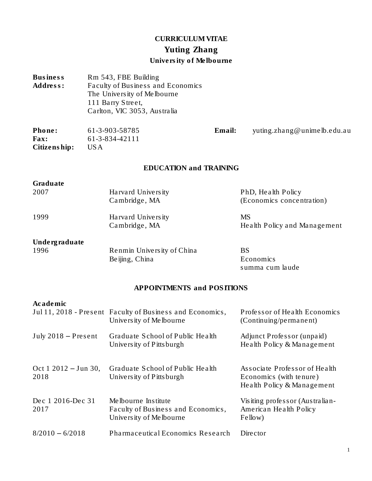# CURRICULUM VITAE Yuting Zhang University of Melbourne

| <b>Business</b><br>Address:              |      | Rm 543, FBE Building<br>Faculty of Business and Economics<br>The University of Melbourne<br>111 Barry Street,<br>Carlton, VIC 3053, Australia |        |                                                                                        |
|------------------------------------------|------|-----------------------------------------------------------------------------------------------------------------------------------------------|--------|----------------------------------------------------------------------------------------|
| Phone:<br>Fax:<br>Citizenship:           | US A | 61-3-903-58785<br>61-3-834-42111                                                                                                              | Email: | yuting.zhang@unimelb.edu.au                                                            |
|                                          |      | <b>EDUCATION and TRAINING</b>                                                                                                                 |        |                                                                                        |
| Graduate<br>2007                         |      | Harvard University<br>Cambridge, MA                                                                                                           |        | PhD, Health Policy<br>(Economics concentration)                                        |
| 1999                                     |      | Harvard University<br>Cambridge, MA                                                                                                           |        | <b>MS</b><br>Health Policy and Management                                              |
| Undergraduate<br>1996                    |      | Renmin University of China<br>Beijing, China                                                                                                  |        | <b>BS</b><br>Economics<br>summa cum laude                                              |
|                                          |      | APPOINTMENTS and POSITIONS                                                                                                                    |        |                                                                                        |
| Academic                                 |      | Jul 11, 2018 - Present Faculty of Business and Economics,<br>University of Melbourne                                                          |        | Professor of Health Economics<br>(Continuing/permanent)                                |
| July $2018$ – Present                    |      | Graduate School of Public Health<br>University of Pitts burgh                                                                                 |        | Adjunct Professor (unpaid)<br>Health Policy & Management                               |
| Oct $1\ 2012 - \text{Jun } 30$ ,<br>2018 |      | Graduate School of Public Health<br>University of Pittsburgh                                                                                  |        | Associate Professor of Health<br>Economics (with tenure)<br>Health Policy & Management |
| Dec 1 2016-Dec 31<br>2017                |      | Melbourne Institute<br>Faculty of Business and Economics,<br>University of Melbourne                                                          |        | Visiting professor (Australian-<br>American Health Policy<br>Fellow)                   |
| $8/2010 - 6/2018$                        |      | Pharmaceutical Economics Research                                                                                                             |        | Director                                                                               |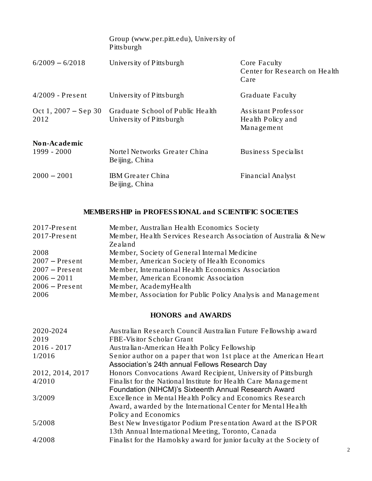|                                | Group (www.per.pitt.edu), University of<br><b>Pittsburgh</b> |                                                        |
|--------------------------------|--------------------------------------------------------------|--------------------------------------------------------|
| $6/2009 - 6/2018$              | University of Pittsburgh                                     | Core Faculty<br>Center for Research on Health<br>Care  |
| $4/2009$ - Present             | University of Pittsburgh                                     | <b>Graduate Faculty</b>                                |
| Oct 1, $2007 -$ Sep 30<br>2012 | Graduate School of Public Health<br>University of Pittsburgh | Assistant Professor<br>Health Policy and<br>Management |
| Non-Academic<br>1999 - 2000    | Nortel Networks Greater China<br>Beijing, China              | Business Specialist                                    |
| $2000 - 2001$                  | <b>IBM</b> Greater China<br>Beijing, China                   | Financial Analyst                                      |

# MEMBERSHIP in PROFESSIONAL and SCIENTIFIC SOCIETIES

| $2017$ -Present  | Member, Australian Health Economics Society                     |
|------------------|-----------------------------------------------------------------|
| $2017$ -Present  | Member, Health Services Research Association of Australia & New |
|                  | Zealand                                                         |
| 2008             | Member, Society of General Internal Medicine                    |
| $2007$ – Present | Member, American Society of Health Economics                    |
| $2007$ – Present | Member, International Health Economics Association              |
| $2006 - 2011$    | Member, American Economic Association                           |
| $2006$ – Present | Member, AcademyHealth                                           |
| 2006             | Member, Association for Public Policy Analysis and Management   |

# HONORS and AWARDS

| 2020-2024        | Australian Research Council Australian Future Fellowship award                                                      |
|------------------|---------------------------------------------------------------------------------------------------------------------|
| 2019             | FBE-Visitor Scholar Grant                                                                                           |
| $2016 - 2017$    | Australian-American Health Policy Fellowship                                                                        |
| 1/2016           | Senior author on a paper that won 1st place at the American Heart<br>Association's 24th annual Fellows Research Day |
| 2012, 2014, 2017 | Honors Convocations Award Recipient, University of Pittsburgh                                                       |
| 4/2010           | Finalist for the National Institute for Health Care Management                                                      |
|                  | Foundation (NIHCM)'s Sixteenth Annual Research Award                                                                |
| 3/2009           | Excellence in Mental Health Policy and Economics Research                                                           |
|                  | Award, awarded by the International Center for Mental Health                                                        |
|                  | Policy and Economics                                                                                                |
| 5/2008           | Best New Investigator Podium Presentation Award at the ISPOR                                                        |
|                  | 13th Annual International Meeting, Toronto, Canada                                                                  |
| 4/2008           | Finalist for the Hamolsky award for junior faculty at the Society of                                                |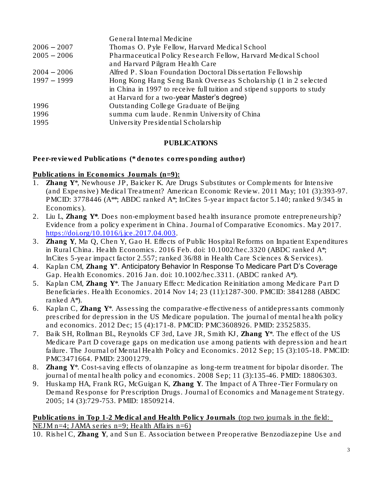|               | General Internal Medicine                                                                                                                                                              |
|---------------|----------------------------------------------------------------------------------------------------------------------------------------------------------------------------------------|
| $2006 - 2007$ | Thomas O. Pyle Fellow, Harvard Medical School                                                                                                                                          |
| $2005 - 2006$ | Pharmaceutical Policy Research Fellow, Harvard Medical School<br>and Harvard Pilgram Health Care                                                                                       |
| $2004 - 2006$ | Alfred P. Sloan Foundation Doctoral Dissertation Fellowship                                                                                                                            |
| $1997 - 1999$ | Hong Kong Hang Seng Bank Overseas Scholarship (1 in 2 selected<br>in China in 1997 to receive full tuition and stipend supports to study<br>at Harvard for a two-year Master's degree) |
| 1996          | Outstanding College Graduate of Beijing                                                                                                                                                |
| 1996          | summa cum laude. Renmin University of China                                                                                                                                            |
| 1995          | University Presidential Scholarship                                                                                                                                                    |

## PUBLICATIONS

Peer-reviewed Publications (\* denotes corresponding author)

Publications in Economics Journals (n=9):

- 1. Zhang Y\*, Newhouse JP, Baicker K. Are Drugs Substitutes or Complements for Intensive (and Expensive) Medical Treatment? *American Economic Review*. 2011 May; 101 (3):393-97. PMCID: 3778446 (A<sup>\*\*</sup>; ABDC ranked A<sup>\*</sup>; InCites 5-year impact factor 5.140; ranked 9/345 in Economics).
- 2. Liu L, Zhang Y\*. Does non-employment based health insurance promote entrepreneurship? Evidence from a policy experiment in China. *Journal of Comparative Economics*. May 2017. [https://doi.org/10.1016/j.jce.2017.04.003.](https://doi.org/10.1016/j.jce.2017.04.003)
- 3. Zhang Y, Ma Q, Chen Y, Gao H. Effects of Public Hospital Reforms on Inpatient Expenditures in Rural China. *Health Economics*. 2016 Feb. doi: 10.1002/hec.3320 (ABDC ranked A\*; InCites 5-year impact factor 2.557; ranked 36/88 in Health Care Sciences & Services).
- 4. Kaplan CM, Zhang Y\*. Anticipatory Behavior In Response To Medicare Part D's Coverage Gap. *Health Economics*. 2016 Jan. doi: 10.1002/hec.3311. (ABDC ranked A\*).
- 5. Kaplan CM, Zhang Y\*. The January Effect: Medication Reinitiation among Medicare Part D Beneficiaries. *Health Economics*. 2014 Nov 14; 23 (11):1287-300. PMCID: 3841288 (ABDC ranked A\*).
- 6. Kaplan C, Zhang Y\*. Assessing the comparative-effectiveness of antidepressants commonly prescribed for depression in the US Medicare population. *The journal of mental health policy and economics*. 2012 Dec; 15 (4):171-8. PMCID: PMC3608926. PMID: 23525835.
- 7. Baik SH, Rollman BL, Reynolds CF 3rd, Lave JR, Smith KJ, Zhang Y\*. The effect of the US Medicare Part D coverage gaps on medication use among patients with depression and heart failure. *The Journal of Mental Health Policy and Economics*. 2012 Sep; 15 (3):105-18. PMCID: PMC3471664. PMID: 23001279.
- 8. Zhang Y\*. Cost-saving effects of olanzapine as long-term treatment for bipolar disorder. *The journal of mental health policy and economics.* 2008 Sep; 11 (3):135-46. PMID: 18806303.
- 9. Huskamp HA, Frank RG, McGuigan K, Zhang Y. The Impact of A Three-Tier Formulary on Demand Response for Prescription Drugs. *Journal of Economics and Management Strategy*. 2005; 14 (3):729-753. PMID: 18509214.

#### Publications in Top 1-2 Medical and Health Policy Journals (top two journals in the field: NEJM n=4; JAMA series n=9; Health Affairs n=6)

10. Rishel C, Zhang Y, and Sun E. Association between Preoperative Benzodiazepine Use and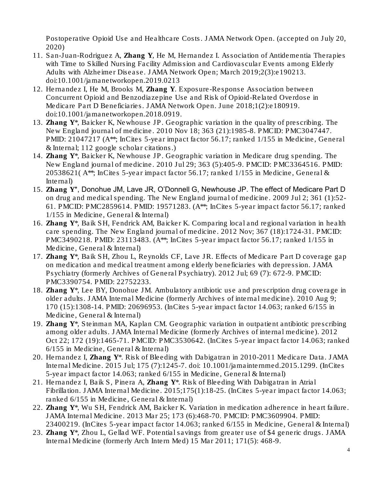Postoperative Opioid Use and Healthcare Costs. *JAMA Network Open. (accepted on July 20, 2020)*

- 11. San-Juan-Rodriguez A, Zhang Y, He M, Hernandez I. Association of Antidementia Therapies with Time to Skilled Nursing Facility Admission and Cardiovascular Events among Elderly Adults with Alzheimer Disease. *JAMA Network Open;* March 2019;2(3):e190213. doi:10.1001/jamanetworkopen.2019.0213
- 12. Hernandez I, He M, Brooks M, Zhang Y. Exposure-Response Association between Concurrent Opioid and Benzodiazepine Use and Risk of Opioid-Related Overdose in Medicare Part D Beneficiaries. *JAMA Network Open*. June 2018;1(2):e180919. doi:10.1001/jamanetworkopen.2018.0919.
- 13. Zhang Y\*, Baicker K, Newhouse JP. Geographic variation in the quality of prescribing. *The New England journal of medicine*. 2010 Nov 18; 363 (21):1985-8. PMCID: PMC3047447. PMID: 21047217 (A\*\*; InCites 5-year impact factor 56.17; ranked 1/155 in Medicine, General & Internal; 112 google scholar citations.)
- 14. Zhang Y\*, Baicker K, Newhouse JP. Geographic variation in Medicare drug spending. *The New England journal of medicine*. 2010 Jul 29; 363 (5):405-9. PMCID: PMC3364516. PMID: 20538621( A\*\*; InCites 5-year impact factor 56.17; ranked 1/155 in Medicine, General & Internal)
- 15. Zhang Y\*, Donohue JM, Lave JR, O'Donnell G, Newhouse JP. The effect of Medicare Part D on drug and medical spending. *The New England journal of medicine*. 2009 Jul 2; 361 (1):52- 61. PMCID: PMC2859614. PMID: 19571283. (A\*\*; InCites 5-year impact factor 56.17; ranked 1/155 in Medicine, General & Internal)
- 16. Zhang Y\*, Baik SH, Fendrick AM, Baicker K. Comparing local and regional variation in health care spending. *The New England journal of medicine*. 2012 Nov; 367 (18):1724-31. PMCID: PMC3490218. PMID: 23113483. (A\*\*; InCites 5-year impact factor 56.17; ranked 1/155 in Medicine, General & Internal)
- 17. Zhang Y\*, Baik SH, Zhou L, Reynolds CF, Lave JR. Effects of Medicare Part D coverage gap on medication and medical treatment among elderly beneficiaries with depression. *JAMA Psychiatry (formerly Archives of General Psychiatry)*. 2012 Jul; 69 (7): 672-9. PMCID: PMC3390754. PMID: 22752233.
- 18. Zhang Y\*, Lee BY, Donohue JM. Ambulatory antibiotic use and prescription drug coverage in older adults. *JAMA Internal Medicine (formerly Archives of internal medicine)*. 2010 Aug 9; 170 (15):1308-14. PMID: 20696953. (InCites 5-year impact factor 14.063; ranked 6/155 in Medicine, General & Internal)
- 19. Zhang Y\*, Steinman MA, Kaplan CM. Geographic variation in outpatient antibiotic prescribing among older adults. *JAMA Internal Medicine (formerly Archives of internal medicine)*. 2012 Oct 22; 172 (19):1465-71. PMCID: PMC3530642. (InCites 5-year impact factor 14.063; ranked 6/155 in Medicine, General & Internal)
- 20. Hernandez I, Zhang Y\*. Risk of Bleeding with Dabigatran in 2010-2011 Medicare Data. *JAMA Internal Medicine*. 2015 Jul; 175 (7):1245-7. doi: 10.1001/jamainternmed.2015.1299. (InCites 5-year impact factor 14.063; ranked 6/155 in Medicine, General & Internal)
- 21. Hernandez I, Baik S, Pinera A, Zhang Y\*. Risk of Bleeding With Dabigatran in Atrial Fibrillation. *JAMA Internal Medicine*. 2015;175(1):18-25. (InCites 5-year impact factor 14.063; ranked 6/155 in Medicine, General & Internal)
- 22. Zhang Y\*, Wu SH, Fendrick AM, Baicker K. Variation in medication adherence in heart failure. *JAMA Internal Medicine*. 2013 Mar 25; 173 (6):468-70. PMCID: PMC3609904. PMID: 23400219. (InCites 5-year impact factor 14.063; ranked 6/155 in Medicine, General & Internal)
- 23. Zhang Y\*, Zhou L, Gellad WF. Potential savings from greater use of \$4 generic drugs. *JAMA Internal Medicine (formerly Arch Intern Med)* 15 Mar 2011; 171(5): 468-9.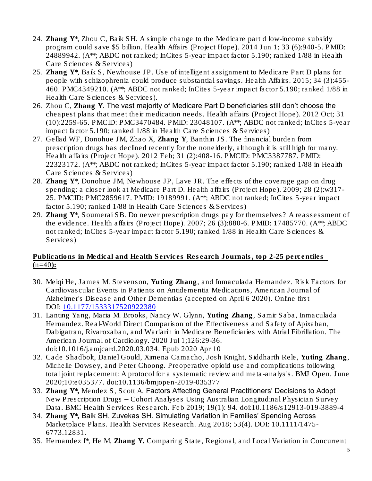- 24. Zhang Y\*, Zhou C, Baik SH. A simple change to the Medicare part d low-income subsidy program could save \$5 billion. *Health Affairs* (Project Hope). 2014 Jun 1; 33 (6):940-5. PMID: 24889942. (A\*\*; ABDC not ranked; InCites 5-year impact factor 5.190; ranked 1/88 in Health Care Sciences & Services)
- 25. Zhang  $Y^*$ , Baik S, Newhouse JP. Use of intelligent assignment to Medicare Part D plans for people with schizophrenia could produce substantial savings. *Health Affairs*. 2015; 34 (3):455- 460. PMC4349210. (A\*\*; ABDC not ranked; InCites 5-year impact factor 5.190; ranked 1/88 in Health Care Sciences & Services).
- 26. Zhou C, Zhang Y. The vast majority of Medicare Part D beneficiaries still don't choose the cheapest plans that meet their medication needs. *Health affairs* (Project Hope). 2012 Oct; 31 (10):2259-65. PMCID: PMC3470484. PMID: 23048107. (A\*\*; ABDC not ranked; InCites 5-year impact factor 5.190; ranked 1/88 in Health Care Sciences & Services)
- 27. Gellad WF, Donohue JM, Zhao X, Zhang Y, Banthin JS. The financial burden from prescription drugs has declined recently for the nonelderly, although it is still high for many. *Health affairs* (Project Hope). 2012 Feb; 31 (2):408-16. PMCID: PMC3387787. PMID: 22323172. (A\*\*; ABDC not ranked; InCites 5-year impact factor 5.190; ranked 1/88 in Health Care Sciences & Services)
- 28. Zhang Y\*, Donohue JM, Newhouse JP, Lave JR. The effects of the coverage gap on drug spending: a closer look at Medicare Part D. *Health affairs* (Project Hope). 2009; 28 (2):w317- 25. PMCID: PMC2859617. PMID: 19189991. (A\*\*; ABDC not ranked; InCites 5-year impact factor 5.190; ranked 1/88 in Health Care Sciences & Services)
- 29. Zhang Y\*, Soumerai SB. Do newer prescription drugs pay for themselves? A reassessment of the evidence. *Health affairs* (Project Hope). 2007; 26 (3):880-6. PMID: 17485770. (A\*\*; ABDC not ranked; InCites 5-year impact factor 5.190; ranked 1/88 in Health Care Sciences & Services)

# Publications in Medical and Health Services Research Journals, top 2-25 percentiles  $(n=40)$ :

- 30. Meiqi He, James M. Stevenson, Yuting Zhang, and Inmaculada Hernandez. Risk Factors for Cardiovascular Events in Patients on Antidementia Medications, *American Journal of Alzheimer's Disease and Other Dementias* (accepted on April 6 2020). Online first DOI: [10.1177/1533317520922380](https://doi.org/10.1177/1533317520922380)
- *31.* Lanting Yang, Maria M. Brooks, Nancy W. Glynn, Yuting Zhang, Samir Saba, Inmaculada Hernandez. Real-World Direct Comparison of the Effectiveness and Safety of Apixaban, Dabigatran, Rivaroxaban, and Warfarin in Medicare Beneficiaries with Atrial Fibrillation. *The American Journal of Cardiology.* 2020 Jul 1;126:29-36. doi:10.1016/j.amjcard.2020.03.034. Epub 2020 Apr 10
- *32.* Cade Shadbolt, Daniel Gould, Ximena Camacho, Josh Knight, Siddharth Rele, Yuting Zhang, Michelle Dowsey, and Peter Choong. Preoperative opioid use and complications following total joint replacement: A protocol for a systematic review and meta-analysis. *BMJ Open*. June 2020;10:e035377. doi:10.1136/bmjopen-2019-035377
- 33. Zhang Y\*, Mendez S, Scott A. Factors Affecting General Practitioners' Decisions to Adopt New Prescription Drugs – Cohort Analyses Using Australian Longitudinal Physician Survey Data. *BMC Health Services Research*. Feb 2019; 19(1): 94. doi:10.1186/s12913-019-3889-4
- 34. Zhang Y\*, Baik SH, Zuvekas SH. Simulating Variation in Families' Spending Across Marketplace Plans. *Health Services Research*. Aug 2018; 53(4). DOI: 10.1111/1475- 6773.12831.
- 35. Hernandez I\*, He M, Zhang Y. Comparing State, Regional, and Local Variation in Concurrent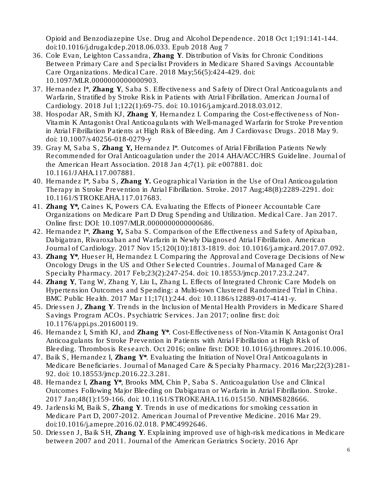Opioid and Benzodiazepine Use. *Drug and Alcohol Dependence.* 2018 Oct 1;191:141-144. doi:10.1016/j.drugalcdep.2018.06.033. Epub 2018 Aug 7

- 36. Cole Evan, Leighton Cassandra, Zhang Y. Distribution of Visits for Chronic Conditions Between Primary Care and Specialist Providers in Medicare Shared Savings Accountable Care Organizations. *Medical Care*. 2018 May;56(5):424-429. doi: 10.1097/MLR.0000000000000903.
- 37. Hernandez I\*, Zhang Y, Saba S. Effectiveness and Safety of Direct Oral Anticoagulants and Warfarin, Stratified by Stroke Risk in Patients with Atrial Fibrillation. *American Journal of Cardiology.* 2018 Jul 1;122(1):69-75. doi: 10.1016/j.amjcard.2018.03.012.
- 38. Hospodar AR, Smith KJ, Zhang Y, Hernandez I. Comparing the Cost-effectiveness of Non-Vitamin K Antagonist Oral Anticoagulants with Well-managed Warfarin for Stroke Prevention in Atrial Fibrillation Patients at High Risk of Bleeding. Am J Cardiovasc Drugs. 2018 May 9. doi: 10.1007/s40256-018-0279-y
- 39. Gray M, Saba S, Zhang Y, Hernandez I\*. Outcomes of Atrial Fibrillation Patients Newly Recommended for Oral Anticoagulation under the 2014 AHA/ACC/HRS Guideline. *Journal of the American Heart Association.* 2018 Jan 4;7(1). pii: e007881. doi: 10.1161/JAHA.117.007881.
- 40. Hernandez I\*, Saba S, Zhang Y. Geographical Variation in the Use of Oral Anticoagulation Therapy in Stroke Prevention in Atrial Fibrillation. *Stroke*. 2017 Aug;48(8):2289-2291. doi: 10.1161/STROKEAHA.117.017683.
- 41. Zhang Y\*, Caines K, Powers CA. Evaluating the Effects of Pioneer Accountable Care Organizations on Medicare Part D Drug Spending and Utilization. *Medical Care.* Jan 2017. Online first: DOI: 10.1097/MLR.0000000000000686.
- 42. Hernandez I\*, Zhang Y, Saba S. Comparison of the Effectiveness and Safety of Apixaban, Dabigatran, Rivaroxaban and Warfarin in Newly Diagnosed Atrial Fibrillation. *American Journal of Cardiology.* 2017 Nov 15;120(10):1813-1819. doi: 10.1016/j.amjcard.2017.07.092.
- 43. Zhang Y\*, Hueser H, Hernandez I. Comparing the Approval and Coverage Decisions of New Oncology Drugs in the US and Other Selected Countries. *Journal of Managed Care & Specialty Pharmacy.* 2017 Feb;23(2):247-254. doi: 10.18553/jmcp.2017.23.2.247.
- 44. Zhang Y, Tang W, Zhang Y, Liu L, Zhang L. Effects of Integrated Chronic Care Models on Hypertension Outcomes and Spending: a Multi-town Clustered Randomized Trial in China. *BMC Public Health*. 2017 Mar 11;17(1):244. doi: 10.1186/s12889-017-4141-y.
- 45. Driessen J, Zhang Y. Trends in the Inclusion of Mental Health Providers in Medicare Shared Savings Program ACOs. *Psychiatric Services*. Jan 2017; online first: doi: 10.1176/appi.ps.201600119.
- 46. Hernandez I, Smith KJ, and Zhang Y\*. Cost-Effectiveness of Non-Vitamin K Antagonist Oral Anticoagulants for Stroke Prevention in Patients with Atrial Fibrillation at High Risk of Bleeding. *Thrombosis Research.* Oct 2016; online first: DOI: 10.1016/j.thromres.2016.10.006.
- 47. Baik S, Hernandez I, Zhang Y\*. Evaluating the Initiation of Novel Oral Anticoagulants in Medicare Beneficiaries. *Journal of Managed Care & Specialty Pharmacy*. 2016 Mar;22(3):281- 92. doi: 10.18553/jmcp.2016.22.3.281.
- 48. Hernandez I, Zhang  $Y^*$ , Brooks MM, Chin P, Saba S. Anticoagulation Use and Clinical Outcomes Following Major Bleeding on Dabigatran or Warfarin in Atrial Fibrillation. *Stroke.* 2017 Jan;48(1):159-166. doi: 10.1161/STROKEAHA.116.015150. NIHMS828666.
- 49. Jarlenski M, Baik S, Zhang Y. Trends in use of medications for smoking cessation in Medicare Part D, 2007-2012. *American Journal of Preventive Medicine*. 2016 Mar 29. doi:10.1016/j.amepre.2016.02.018. PMC4992646.
- 50. Driessen J, Baik SH, Zhang Y. Explaining improved use of high-risk medications in Medicare between 2007 and 2011. *Journal of the American Geriatrics Society*. 2016 Apr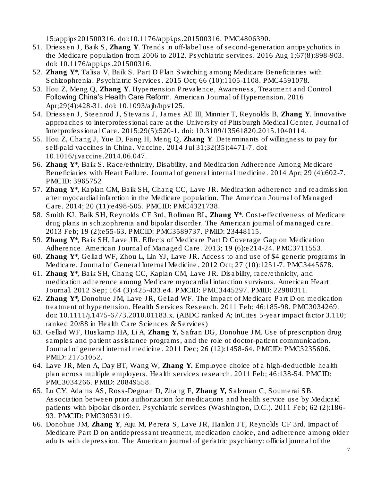15;appips201500316. doi:10.1176/appi.ps.201500316. PMC4806390.

- 51. Driessen J, Baik S, Zhang Y. Trends in off-label use of second-generation antipsychotics in the Medicare population from 2006 to 2012. *Psychiatric services*. 2016 Aug 1;67(8):898-903. doi: 10.1176/appi.ps.201500316.
- 52. Zhang Y\*, Talisa V, Baik S. Part D Plan Switching among Medicare Beneficiaries with Schizophrenia. *Psychiatric Services*. 2015 Oct; 66 (10):1105-1108. PMC4591078.
- 53. Hou Z, Meng Q, Zhang Y. Hypertension Prevalence, Awareness, Treatment and Control Following China's Health Care Reform. *American Journal of Hypertension*. 2016 Apr;29(4):428-31. doi: 10.1093/ajh/hpv125.
- 54. Driessen J, Steenrod J, Stevans J, James AE III, Minnier T, Reynolds B, Zhang Y. Innovative approaches to interprofessional care at the University of Pittsburgh Medical Center. *Journal of Interprofessional Care*. 2015;29(5):520-1. doi: 10.3109/13561820.2015.1040114.
- 55. Hou Z, Chang J, Yue D, Fang H, Meng Q, Zhang Y. Determinants of willingness to pay for self-paid vaccines in China. *Vaccine*. 2014 Jul 31;32(35):4471-7. doi: 10.1016/j.vaccine.2014.06.047.
- 56. Zhang Y\*, Baik S. Race/ethnicity, Disability, and Medication Adherence Among Medicare Beneficiaries with Heart Failure. *Journal of general internal medicine*. 2014 Apr; 29 (4):602-7. PMCID: 3965752
- 57. Zhang Y\*, Kaplan CM, Baik SH, Chang CC, Lave JR. Medication adherence and readmission after myocardial infarction in the Medicare population. *The American Journal of Managed Care*. 2014; 20 (11):e498-505. PMCID: PMC4321738.
- 58. Smith KJ, Baik SH, Reynolds CF 3rd, Rollman BL, Zhang Y\*. Cost-effectiveness of Medicare drug plans in schizophrenia and bipolar disorder. *The American journal of managed care*. 2013 Feb; 19 (2):e55-63. PMCID: PMC3589737. PMID: 23448115.
- 59. Zhang  $Y^*$ , Baik SH, Lave JR. Effects of Medicare Part D Coverage Gap on Medication Adherence. *American Journal of Managed Care*. 2013; 19 (6):e214-24. PMC3711553.
- 60. Zhang Y\*, Gellad WF, Zhou L, Lin YJ, Lave JR. Access to and use of \$4 generic programs in Medicare. *Journal of General Internal Medicine*. 2012 Oct; 27 (10):1251-7. PMC3445678.
- 61. Zhang Y\*, Baik SH, Chang CC, Kaplan CM, Lave JR. Disability, race/ethnicity, and medication adherence among Medicare myocardial infarction survivors. *American Heart Journal*. 2012 Sep; 164 (3):425-433.e4. PMCID: PMC3445297. PMID: 22980311.
- 62. Zhang Y\*, Donohue JM, Lave JR, Gellad WF. The impact of Medicare Part D on medication treatment of hypertension. *Health Services Research*. 2011 Feb; 46:185-98. PMC3034269. doi: 10.1111/j.1475-6773.2010.01183.x. (ABDC ranked A; InCites 5-year impact factor 3.110; ranked 20/88 in Health Care Sciences & Services)
- 63. Gellad WF, Huskamp HA, Li A, Zhang Y, Safran DG, Donohue JM. Use of prescription drug samples and patient assistance programs, and the role of doctor-patient communication. *Journal of general internal medicine*. 2011 Dec; 26 (12):1458-64. PMCID: PMC3235606. PMID: 21751052.
- 64. Lave JR, Men A, Day BT, Wang W, Zhang Y. Employee choice of a high-deductible health plan across multiple employers. *Health services research*. 2011 Feb; 46:138-54. PMCID: PMC3034266. PMID: 20849558.
- 65. Lu CY, Adams AS, Ross-Degnan D, Zhang F, Zhang Y, Salzman C, Soumerai SB. Association between prior authorization for medications and health service use by Medicaid patients with bipolar disorder. *Psychiatric services* (Washington, D.C.). 2011 Feb; 62 (2):186- 93. PMCID: PMC3053119.
- 66. Donohue JM, Zhang Y, Aiju M, Perera S, Lave JR, Hanlon JT, Reynolds CF 3rd. Impact of Medicare Part D on antidepressant treatment, medication choice, and adherence among older adults with depression. *The American journal of geriatric psychiatry*: official journal of the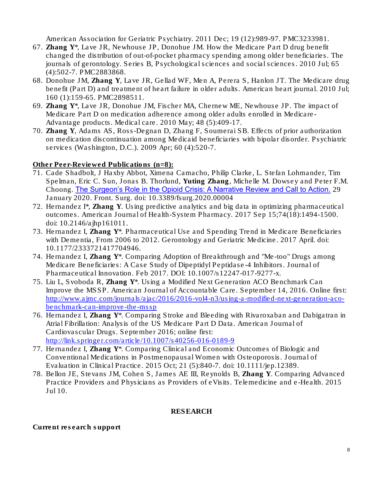American Association for Geriatric Psychiatry. 2011 Dec; 19 (12):989-97. PMC3233981.

- 67. Zhang Y\*, Lave JR, Newhouse JP, Donohue JM. How the Medicare Part D drug benefit changed the distribution of out-of-pocket pharmacy spending among older beneficiaries. *The journals of gerontology. Series B, Psychological sciences and social sciences*. 2010 Jul; 65 (4):502-7. PMC2883868.
- 68. Donohue JM, Zhang Y, Lave JR, Gellad WF, Men A, Perera S, Hanlon JT. The Medicare drug benefit (Part D) and treatment of heart failure in older adults. *American heart journal*. 2010 Jul; 160 (1):159-65. PMC2898511.
- 69. Zhang Y\*, Lave JR, Donohue JM, Fischer MA, Chernew ME, Newhouse JP. The impact of Medicare Part D on medication adherence among older adults enrolled in Medicare-Advantage products. *Medical care*. 2010 May; 48 (5):409-17.
- 70. Zhang Y, Adams AS, Ross-Degnan D, Zhang F, Soumerai SB. Effects of prior authorization on medication discontinuation among Medicaid beneficiaries with bipolar disorder. *Psychiatric services* (Washington, D.C.). 2009 Apr; 60 (4):520-7.

Other Peer-Reviewed Publications (n=8):

- 71. [Cade Shadbolt,](https://loop.frontiersin.org/people/825088/overview) J Haxby Abbot, Ximena Camacho, Philip Clarke, L. Stefan Lohmander, Tim Spelman, Eric C. Sun, [Jonas B. Thorlund,](https://loop.frontiersin.org/people/826537/overview) Yuting Zhang, [Michelle M. Dowsey](https://loop.frontiersin.org/people/142800/overview) and [Peter F.M.](https://loop.frontiersin.org/people/132579/overview)  [Choong.](https://loop.frontiersin.org/people/132579/overview) [The Surgeon's Role in the Opioid Crisis: A Narrative Review and Call to Action.](https://www.frontiersin.org/articles/10.3389/fsurg.2020.00004) 29 January 2020. Front. Surg. doi: 10.3389/fsurg.2020.00004
- 72. Hernandez I\*, Zhang Y. Using predictive analytics and big data in optimizing pharmaceutical outcomes. *American Journal of Health-System Pharmacy*. 2017 Sep 15;74(18):1494-1500. doi: 10.2146/ajhp161011.
- 73. Hernandez I, Zhang Y\*. Pharmaceutical Use and Spending Trend in Medicare Beneficiaries with Dementia, From 2006 to 2012. *Gerontology and Geriatric Medicine*. 2017 April. doi: 10.1177/2333721417704946.
- 74. Hernandez I, Zhang Y\*. Comparing Adoption of Breakthrough and "Me-too" Drugs among Medicare Beneficiaries: A Case Study of Dipeptidyl Peptidase-4 Inhibitors. *Journal of Pharmaceutical Innovation*. Feb 2017. DOI: 10.1007/s12247-017-9277-x.
- 75. Liu L, Svoboda R, Zhang Y\*. Using a Modified Next Generation ACO Benchmark Can Improve the MSSP. *American Journal of Accountable Care*. September 14, 2016. Online first: [http://www.ajmc.com/journals/ajac/2016/2016-vol4-n3/using-a-modified-next-generation-aco](http://www.ajmc.com/journals/ajac/2016/2016-vol4-n3/using-a-modified-next-generation-aco-benchmark-can-improve-the-mssp)[benchmark-can-improve-the-mssp](http://www.ajmc.com/journals/ajac/2016/2016-vol4-n3/using-a-modified-next-generation-aco-benchmark-can-improve-the-mssp)
- 76. Hernandez I, Zhang Y\*. Comparing Stroke and Bleeding with Rivaroxaban and Dabigatran in Atrial Fibrillation: Analysis of the US Medicare Part D Data. *American Journal of Cardiovascular Drugs.* September 2016; online first: <http://link.springer.com/article/10.1007/s40256-016-0189-9>
- 77. Hernandez I, Zhang Y\*. Comparing Clinical and Economic Outcomes of Biologic and Conventional Medications in Postmenopausal Women with Osteoporosis. *Journal of Evaluation in Clinical Practice*. 2015 Oct; 21 (5):840-7. doi: 10.1111/jep.12389.
- 78. Bellon JE, Stevans JM, Cohen S, James AE III, Reynolds B, Zhang Y. Comparing Advanced Practice Providers and Physicians as Providers of eVisits. *Telemedicine and e-Health*. 2015 Jul 10.

# RESEARCH

Current research support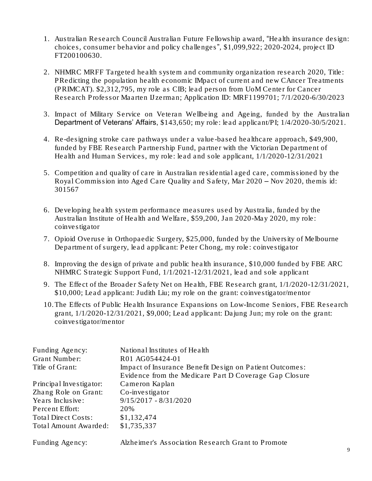- 1. Australian Research Council Australian Future Fellowship award, "Health insurance design: choices, consumer behavior and policy challenges", \$1,099,922; 2020-2024, project ID FT200100630.
- 2. NHMRC MRFF Targeted health system and community organization research 2020, Title: PRedicting the population health economic IMpact of current and new CAncer Treatments (PRIMCAT). \$2,312,795, my role as CIB; lead person from UoM Center for Cancer Research Professor Maarten IJzerman; Application ID: MRF1199701; 7/1/2020-6/30/2023
- 3. Impact of Military Service on Veteran Wellbeing and Ageing, funded by the Australian Department of Veterans' Affairs, \$143,650; my role: lead applicant/PI; 1/4/2020-30/5/2021.
- 4. Re-designing stroke care pathways under a value-based healthcare approach, \$49,900, funded by FBE Research Partnership Fund, partner with the Victorian Department of Health and Human Services, my role: lead and sole applicant, 1/1/2020-12/31/2021
- 5. Competition and quality of care in Australian residential aged care, commissioned by the Royal Commission into Aged Care Quality and Safety, Mar 2020 – Nov 2020, themis id: 301567
- 6. Developing health system performance measures used by Australia, funded by the Australian Institute of Health and Welfare, \$59,200, Jan 2020-May 2020, my role: coinvestigator
- 7. Opioid Overuse in Orthopaedic Surgery, \$25,000, funded by the University of Melbourne Department of surgery, lead applicant: Peter Chong, my role: coinvestigator
- 8. Improving the design of private and public health insurance, \$10,000 funded by FBE ARC NHMRC Strategic Support Fund, 1/1/2021-12/31/2021, lead and sole applicant
- 9. The Effect of the Broader Safety Net on Health, FBE Research grant, 1/1/2020-12/31/2021, \$10,000; Lead applicant: Judith Liu; my role on the grant: coinvestigator/mentor
- 10.The Effects of Public Health Insurance Expansions on Low-Income Seniors, FBE Research grant,  $1/1/2020-12/31/2021$ , \$9,000; Lead applicant: Dajung Jun; my role on the grant: coinvestigator/mentor

| Funding Agency:         | National Institutes of Health                           |
|-------------------------|---------------------------------------------------------|
| Grant Number:           | R01 AG054424-01                                         |
| Title of Grant:         | Impact of Insurance Benefit Design on Patient Outcomes: |
|                         | Evidence from the Medicare Part D Coverage Gap Closure  |
| Principal Investigator: | Cameron Kaplan                                          |
| Zhang Role on Grant:    | Co-investigator                                         |
| Years Inclusive:        | $9/15/2017 - 8/31/2020$                                 |
| Percent Effort:         | 20%                                                     |
| Total Direct Costs:     | \$1,132,474                                             |
| Total Amount Awarded:   | \$1,735,337                                             |
|                         |                                                         |

Funding Agency: Alzheimer's Association Research Grant to Promote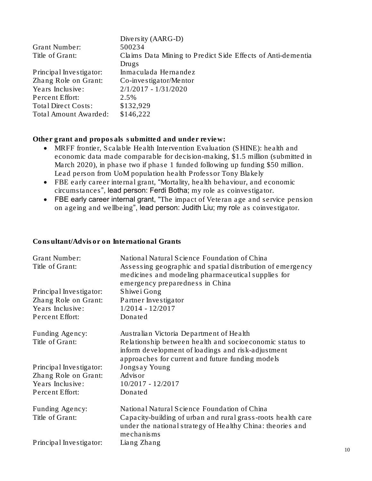|                              | Diversity (AARG-D)                                          |
|------------------------------|-------------------------------------------------------------|
| Grant Number:                | 500234                                                      |
| Title of Grant:              | Claims Data Mining to Predict Side Effects of Anti-dementia |
|                              | Drugs                                                       |
| Principal Investigator:      | Inmaculada Hernandez                                        |
| Zhang Role on Grant:         | $Co$ -investigator/Mentor                                   |
| Years Inclusive:             | $2/1/2017 - 1/31/2020$                                      |
| Percent Effort:              | 2.5%                                                        |
| Total Direct Costs:          | \$132,929                                                   |
| <b>Total Amount Awarded:</b> | \$146,222                                                   |

Other grant and proposals submitted and under review:

- MRFF frontier, Scalable Health Intervention Evaluation (SHINE): health and economic data made comparable for decision-making, \$1.5 million (submitted in March 2020), in phase two if phase 1 funded following up funding \$50 million. Lead person from UoM population health Professor Tony Blakely
- FBE early career internal grant, "Mortality, health behaviour, and economic circumstances", lead person: Ferdi Botha; my role as coinvestigator.
- FBE early career internal grant, "The impact of Veteran age and service pension on ageing and wellbeing", lead person: Judith Liu; my role as coinvestigator.

Consultant/Advisor on International Grants

| Grant Number:           | National Natural Science Foundation of China                                                                                                                      |
|-------------------------|-------------------------------------------------------------------------------------------------------------------------------------------------------------------|
| Title of Grant:         | Assessing geographic and spatial distribution of emergency<br>medicines and modeling pharmaceutical supplies for<br>emergency preparedness in China               |
| Principal Investigator: | Shiwe i Gong                                                                                                                                                      |
| Zhang Role on Grant:    | Partner Investigator                                                                                                                                              |
| Years Inclusive:        | $1/2014 - 12/2017$                                                                                                                                                |
| Percent Effort:         | Donated                                                                                                                                                           |
| Funding Agency:         | Australian Victoria Department of Health                                                                                                                          |
| Title of Grant:         | Relationship between health and socioeconomic status to<br>inform development of loadings and risk-adjustment<br>approaches for current and future funding models |
| Principal Investigator: | Jongsay Young                                                                                                                                                     |
| Zhang Role on Grant:    | <b>Advisor</b>                                                                                                                                                    |
| Years Inclusive:        | $10/2017 - 12/2017$                                                                                                                                               |
| Percent Effort:         | Donated                                                                                                                                                           |
| Funding Agency:         | National Natural Science Foundation of China                                                                                                                      |
| Title of Grant:         | Capacity-building of urban and rural grass-roots health care<br>under the national strategy of Healthy China: theories and<br>mechanisms                          |
| Principal Investigator: | Liang Zhang                                                                                                                                                       |
|                         |                                                                                                                                                                   |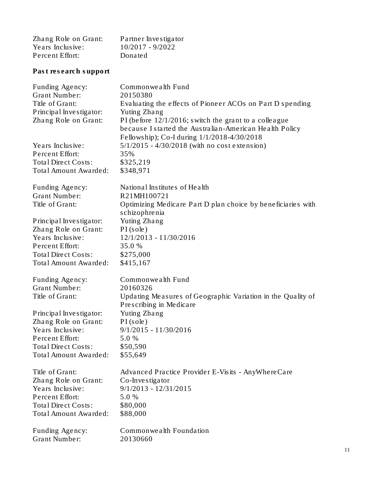| Zhang Role on Grant: | Partner Investigator |
|----------------------|----------------------|
| Years Inclusive:     | $10/2017 - 9/2022$   |
| Percent Effort:      | Donated              |

Past research support

| Funding Agency:            | Commonwealth Fund                                                                                                                                                  |
|----------------------------|--------------------------------------------------------------------------------------------------------------------------------------------------------------------|
| <b>Grant Number:</b>       | 20150380                                                                                                                                                           |
| Title of Grant:            | Evaluating the effects of Pioneer ACOs on Part D spending                                                                                                          |
| Principal Investigator:    | Yuting Zhang                                                                                                                                                       |
| Zhang Role on Grant:       | PI (before $12/1/2016$ ; switch the grant to a colleague<br>because I started the Australian-American Health Policy<br>Fellowship); Co-I during 1/1/2018-4/30/2018 |
| Years Inclusive:           | $5/1/2015 - 4/30/2018$ (with no cost extension)                                                                                                                    |
| Percent Effort:            | 35%                                                                                                                                                                |
| <b>Total Direct Costs:</b> | \$325,219                                                                                                                                                          |
| Total Amount Awarded:      | \$348,971                                                                                                                                                          |
| Funding Agency:            | National Institutes of Health                                                                                                                                      |
| <b>Grant Number:</b>       | R21MH100721                                                                                                                                                        |
| Title of Grant:            | Optimizing Medicare Part D plan choice by beneficiaries with<br>schizophrenia                                                                                      |
| Principal Investigator:    | Yuting Zhang                                                                                                                                                       |
| Zhang Role on Grant:       | PI(sole)                                                                                                                                                           |
| Years Inclusive:           | 12/1/2013 - 11/30/2016                                                                                                                                             |
| Percent Effort:            | 35.0 %                                                                                                                                                             |
| <b>Total Direct Costs:</b> | \$275,000                                                                                                                                                          |
| Total Amount Awarded:      | \$415,167                                                                                                                                                          |
| Funding Agency:            | Commonwealth Fund                                                                                                                                                  |
| <b>Grant Number:</b>       | 20160326                                                                                                                                                           |
| Title of Grant:            | Updating Measures of Geographic Variation in the Quality of<br>Prescribing in Medicare                                                                             |
| Principal Investigator:    | Yuting Zhang                                                                                                                                                       |
| Zhang Role on Grant:       | $PI$ (sole)                                                                                                                                                        |
| Years Inclusive:           | $9/1/2015 - 11/30/2016$                                                                                                                                            |
| Percent Effort:            | 5.0 %                                                                                                                                                              |
| Total Direct Costs:        | \$50,590                                                                                                                                                           |
| Total Amount Awarded:      | \$55,649                                                                                                                                                           |
| Title of Grant:            | Advanced Practice Provider E-Visits - AnyWhereCare                                                                                                                 |
| Zhang Role on Grant:       | Co-Investigator                                                                                                                                                    |
| Years Inclusive:           | $9/1/2013 - 12/31/2015$                                                                                                                                            |
| Percent Effort:            | 5.0 %                                                                                                                                                              |
| Total Direct Costs:        | \$80,000                                                                                                                                                           |
| Total Amount Awarded:      | \$88,000                                                                                                                                                           |
| Funding Agency:            | Commonwealth Foundation                                                                                                                                            |
| <b>Grant Number:</b>       | 20130660                                                                                                                                                           |
|                            |                                                                                                                                                                    |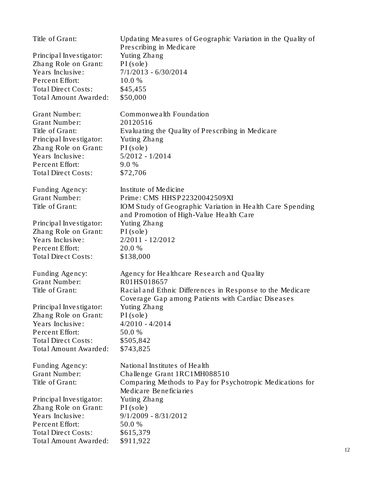| Title of Grant:            | Updating Measures of Geographic Variation in the Quality of<br>Prescribing in Medicare |
|----------------------------|----------------------------------------------------------------------------------------|
| Principal Investigator:    | Yuting Zhang                                                                           |
| Zhang Role on Grant:       | PI(sole)                                                                               |
| Years Inclusive:           | $7/1/2013 - 6/30/2014$                                                                 |
| Percent Effort:            | 10.0 %                                                                                 |
| Total Direct Costs:        | \$45,455                                                                               |
| Total Amount Awarded:      | \$50,000                                                                               |
|                            |                                                                                        |
| <b>Grant Number:</b>       | Commonwealth Foundation                                                                |
| <b>Grant Number:</b>       | 20120516                                                                               |
| Title of Grant:            | Evaluating the Quality of Prescribing in Medicare                                      |
| Principal Investigator:    | Yuting Zhang                                                                           |
| Zhang Role on Grant:       | PI(sole)                                                                               |
| Years Inclusive:           | $5/2012 - 1/2014$                                                                      |
| Percent Effort:            | 9.0 %                                                                                  |
| <b>Total Direct Costs:</b> | \$72,706                                                                               |
| Funding Agency:            | Institute of Medicine                                                                  |
| <b>Grant Number:</b>       | Prime: CMS HHSP22320042509XI                                                           |
| Title of Grant:            | IOM Study of Geographic Variation in Health Care Spending                              |
|                            | and Promotion of High-Value Health Care                                                |
| Principal Investigator:    | Yuting Zhang                                                                           |
| Zhang Role on Grant:       | PI(sole)                                                                               |
| Years Inclusive:           | $2/2011 - 12/2012$                                                                     |
| Percent Effort:            | 20.0 %                                                                                 |
| <b>Total Direct Costs:</b> | \$138,000                                                                              |
|                            |                                                                                        |
| Funding Agency:            | Agency for Healthcare Research and Quality                                             |
| <b>Grant Number:</b>       | R01HS018657                                                                            |
| Title of Grant:            | Racial and Ethnic Differences in Response to the Medicare                              |
|                            | Coverage Gap among Patients with Cardiac Diseases                                      |
| Principal Investigator:    | Yuting Zhang                                                                           |
| Zhang Role on Grant:       | $PI$ (sole)                                                                            |
| Years Inclusive:           | $4/2010 - 4/2014$                                                                      |
| Percent Effort:            | 50.0 %                                                                                 |
| <b>Total Direct Costs:</b> | \$505,842                                                                              |
| Total Amount Awarded:      | \$743,825                                                                              |
|                            |                                                                                        |
| Funding Agency:            | National Institutes of Health                                                          |
| <b>Grant Number:</b>       | Challenge Grant 1RC1MH088510                                                           |
| Title of Grant:            | Comparing Methods to Pay for Psychotropic Medications for<br>Medicare Beneficiaries    |
| Principal Investigator:    | Yuting Zhang                                                                           |
| Zhang Role on Grant:       | $PI$ (sole)                                                                            |
| Years Inclusive:           | $9/1/2009 - 8/31/2012$                                                                 |
| Percent Effort:            | 50.0 %                                                                                 |
| Total Direct Costs:        | \$615,379                                                                              |
| Total Amount Awarded:      | \$911,922                                                                              |
|                            |                                                                                        |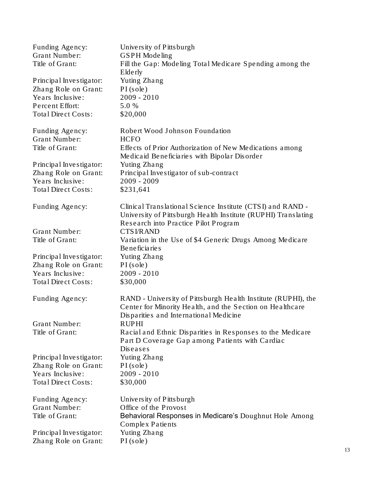| Funding Agency:                          | University of Pittsburgh                                                                                                                                             |
|------------------------------------------|----------------------------------------------------------------------------------------------------------------------------------------------------------------------|
| <b>Grant Number:</b>                     | GSPH Modeling                                                                                                                                                        |
| Title of Grant:                          | Fill the Gap: Modeling Total Medicare Spending among the<br>Elderly                                                                                                  |
| Principal Investigator:                  | Yuting Zhang                                                                                                                                                         |
| Zhang Role on Grant:                     | $PI$ (sole)                                                                                                                                                          |
| Years Inclusive:                         | $2009 - 2010$                                                                                                                                                        |
| Percent Effort:                          | 5.0 %                                                                                                                                                                |
| <b>Total Direct Costs:</b>               | \$20,000                                                                                                                                                             |
| Funding Agency:                          | Robert Wood Johnson Foundation                                                                                                                                       |
| <b>Grant Number:</b>                     | <b>HCFO</b>                                                                                                                                                          |
| Title of Grant:                          | Effects of Prior Authorization of New Medications among<br>Medicaid Beneficiaries with Bipolar Disorder                                                              |
| Principal Investigator:                  | Yuting Zhang                                                                                                                                                         |
| Zhang Role on Grant:                     | Principal Investigator of sub-contract                                                                                                                               |
| Years Inclusive:                         | $2009 - 2009$                                                                                                                                                        |
| Total Direct Costs:                      | \$231,641                                                                                                                                                            |
| Funding Agency:                          | Clinical Translational Science Institute (CTSI) and RAND -<br>University of Pittsburgh Health Institute (RUPHI) Translating<br>Research into Practice Pilot Program  |
| <b>Grant Number:</b>                     | <b>CTSI/RAND</b>                                                                                                                                                     |
| Title of Grant:                          | Variation in the Use of \$4 Generic Drugs Among Medicare<br><b>Beneficiaries</b>                                                                                     |
| Principal Investigator:                  | Yuting Zhang                                                                                                                                                         |
| Zhang Role on Grant:                     | $PI$ (sole)                                                                                                                                                          |
| Years Inclusive:                         | $2009 - 2010$                                                                                                                                                        |
| <b>Total Direct Costs:</b>               | \$30,000                                                                                                                                                             |
| Funding Agency:                          | RAND - University of Pittsburgh Health Institute (RUPHI), the<br>Center for Minority Health, and the Section on Healthcare<br>Disparities and International Medicine |
| <b>Grant Number:</b>                     | <b>RUPHI</b>                                                                                                                                                         |
| Title of Grant:                          | Racial and Ethnic Disparities in Responses to the Medicare<br>Part D Coverage Gap among Patients with Cardiac                                                        |
|                                          | Diseases                                                                                                                                                             |
| Principal Investigator:                  | Yuting Zhang                                                                                                                                                         |
| Zhang Role on Grant:<br>Years Inclusive: | $PI$ (sole)<br>$2009 - 2010$                                                                                                                                         |
|                                          |                                                                                                                                                                      |
| <b>Total Direct Costs:</b>               | \$30,000                                                                                                                                                             |
| Funding Agency:                          | University of Pitts burgh                                                                                                                                            |
| <b>Grant Number:</b>                     | Office of the Provost                                                                                                                                                |
| Title of Grant:                          | Behavioral Responses in Medicare's Doughnut Hole Among                                                                                                               |
|                                          | Complex Patients                                                                                                                                                     |
| Principal Investigator:                  | Yuting Zhang                                                                                                                                                         |
| Zhang Role on Grant:                     | PI(sole)                                                                                                                                                             |
|                                          |                                                                                                                                                                      |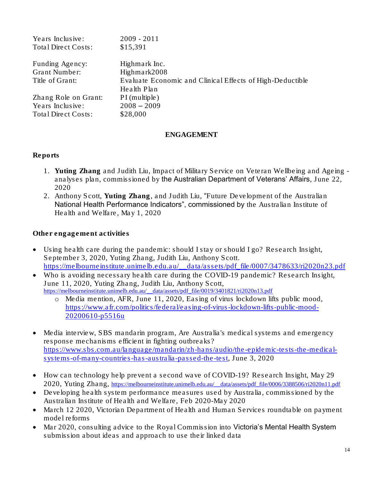| $2009 - 2011$                                             |
|-----------------------------------------------------------|
| \$15,391                                                  |
| Highmark Inc.                                             |
|                                                           |
| Highmark2008                                              |
| Evaluate Economic and Clinical Effects of High-Deductible |
| Health Plan                                               |
| PI (multiple)                                             |
| $2008 - 2009$                                             |
| \$28,000                                                  |
|                                                           |

### ENGAGEMENT

#### Reports

- 1. Yuting Zhang and Judith Liu, Impact of Military Service on Veteran Wellbeing and Ageing analyses plan, commissioned by the Australian Department of Veterans' Affairs, June 22, 2020
- 2. Anthony Scott, Yuting Zhang, and Judith Liu, "Future Development of the Australian National Health Performance Indicators", commissioned by the Australian Institute of Health and Welfare, May 1, 2020

Other engagement activities

- Using health care during the pandemic: should I stay or should I go? Research Insight, September 3, 2020, Yuting Zhang, Judith Liu, Anthony Scott. [https://melbourneinstitute.unimelb.edu.au/\\_\\_data/assets/pdf\\_file/0007/3478633/ri2020n23.pdf](https://melbourneinstitute.unimelb.edu.au/__data/assets/pdf_file/0007/3478633/ri2020n23.pdf)
- Who is avoiding necessary health care during the COVID-19 pandemic? Research Insight, June 11, 2020, Yuting Zhang, Judith Liu, Anthony Scott, [https://melbourneinstitute.unimelb.edu.au/\\_\\_data/assets/pdf\\_file/0019/3401821/ri2020n13.pdf](https://melbourneinstitute.unimelb.edu.au/__data/assets/pdf_file/0019/3401821/ri2020n13.pdf)
	- Media mention, AFR, June 11, 2020, Easing of virus lockdown lifts public mood, [https://www.afr.com/politics/federal/easing-of-virus-lockdown-lifts-public-mood-](https://www.afr.com/politics/federal/easing-of-virus-lockdown-lifts-public-mood-20200610-p5516u)[20200610-p5516u](https://www.afr.com/politics/federal/easing-of-virus-lockdown-lifts-public-mood-20200610-p5516u)
- Media interview, SBS mandarin program, Are Australia's medical systems and emergency response mechanisms efficient in fighting outbreaks? [https://www.sbs.com.au/language/mandarin/zh-hans/audio/the-epidemic-tests-the-medical](https://www.sbs.com.au/language/mandarin/zh-hans/audio/the-epidemic-tests-the-medical-systems-of-many-countries-has-australia-passed-the-test)[systems-of-many-countries-has-australia-passed-the-test,](https://www.sbs.com.au/language/mandarin/zh-hans/audio/the-epidemic-tests-the-medical-systems-of-many-countries-has-australia-passed-the-test) June 3, 2020
- How can technology help prevent a second wave of COVID-19? Research Insight, May 29 2020, Yuting Zhang, https://melbourneinstitute.unimelb.edu.au/\_data/assets/pdf\_file/0006/3388506/ri2020n11.pdf
- Developing health system performance measures used by Australia, commissioned by the Australian Institute of Health and Welfare, Feb 2020-May 2020
- March 12 2020, Victorian Department of Health and Human Services roundtable on payment model reforms
- Mar 2020, consulting advice to the Royal Commission into Victoria's Mental Health System submission about ideas and approach to use their linked data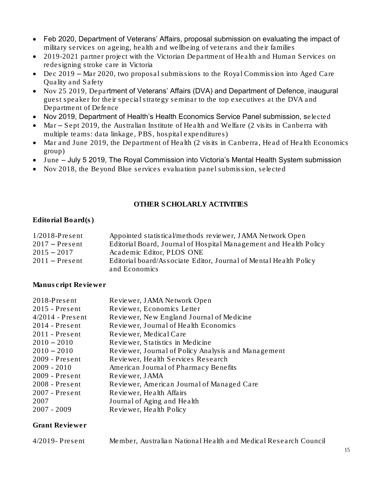- Feb 2020, Department of Veterans' Affairs, proposal submission on evaluating the impact of military services on ageing, health and wellbeing of veterans and their families
- 2019-2021 partner project with the Victorian Department of Health and Human Services on redesigning stroke care in Victoria
- Dec 2019 Mar 2020, two proposal submissions to the Royal Commission into Aged Care Quality and Safety
- Nov 25 2019, Department of Veterans' Affairs (DVA) and Department of Defence, inaugural guest speaker for their special strategy seminar to the top executives at the DVA and Department of Defence
- Nov 2019, Department of Health's Health Economics Service Panel submission, selected
- Mar Sept 2019, the Australian Institute of Health and Welfare (2 visits in Canberra with multiple teams: data linkage, PBS, hospital expenditures)
- Mar and June 2019, the Department of Health (2 visits in Canberra, Head of Health Economics group)
- June July 5 2019, The Royal Commission into Victoria's Mental Health System submission
- Nov 2018, the Beyond Blue services evaluation panel submission, selected

## OTHER SCHOLARLY ACTIVITIES

### Editorial Board(s)

| $1/2018$ -Present | Appointed statistical/methods reviewer, JAMA Network Open         |
|-------------------|-------------------------------------------------------------------|
| $2017$ – Present  | Editorial Board, Journal of Hospital Management and Health Policy |
| $2015 - 2017$     | Academic Editor, PLOS ONE                                         |
| $2011$ – Present  | Editorial board/Associate Editor, Journal of Mental Health Policy |
|                   | and Economics                                                     |

### Manuscript Reviewer

| $2018$ -Present    | Reviewer, JAMA Network Open                         |
|--------------------|-----------------------------------------------------|
| $2015$ - Present   | Reviewer, Economics Letter                          |
| $4/2014$ - Present | Reviewer, New England Journal of Medicine           |
| $2014$ - Present   | Reviewer, Journal of Health Economics               |
| $2011$ - Present   | Reviewer, Medical Care                              |
| $2010 - 2010$      | Reviewer, Statistics in Medicine                    |
| $2010 - 2010$      | Reviewer, Journal of Policy Analysis and Management |
| $2009$ - Present   | Reviewer, Health Services Research                  |
| $2009 - 2010$      | American Journal of Pharmacy Benefits               |
| $2009$ - Present   | Reviewer, JAMA                                      |
| $2008$ - Present   | Reviewer, American Journal of Managed Care          |
| $2007$ - Present   | Reviewer, Health Affairs                            |
| 2007               | Journal of Aging and Health                         |
| $2007 - 2009$      | Reviewer, Health Policy                             |
|                    |                                                     |

### Grant Reviewer

| $4/2019$ -Present | Member, Australian National Health and Medical Research Council |
|-------------------|-----------------------------------------------------------------|
|-------------------|-----------------------------------------------------------------|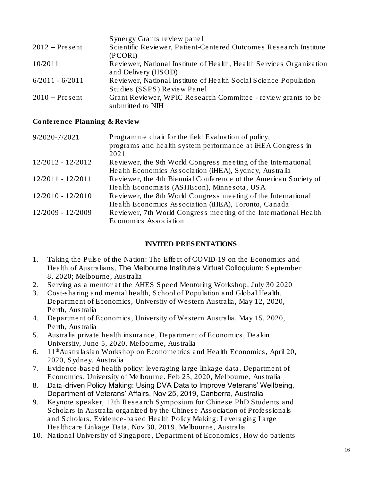| Synergy Grants review panel                                          |
|----------------------------------------------------------------------|
| Scientific Reviewer, Patient-Centered Outcomes Research Institute    |
| (PCORI)                                                              |
| Reviewer, National Institute of Health, Health Services Organization |
| and Delivery (HSOD)                                                  |
| Reviewer, National Institute of Health Social Science Population     |
| Studies (SSPS) Review Panel                                          |
| Grant Reviewer, WPIC Research Committee - review grants to be        |
| submitted to NIH                                                     |
|                                                                      |

Conference Planning & Review

| 9/2020-7/2021       | Programme chair for the field Evaluation of policy,              |
|---------------------|------------------------------------------------------------------|
|                     | programs and health system performance at iHEA Congress in       |
|                     | 2021                                                             |
| $12/2012 - 12/2012$ | Reviewer, the 9th World Congress meeting of the International    |
|                     | Health Economics Association (iHEA), Sydney, Australia           |
| $12/2011 - 12/2011$ | Reviewer, the 4th Biennial Conference of the American Society of |
|                     | Health Economists (ASHEcon), Minnesota, USA                      |
| $12/2010 - 12/2010$ | Reviewer, the 8th World Congress meeting of the International    |
|                     | Health Economics Association (iHEA), Toronto, Canada             |
| 12/2009 - 12/2009   | Reviewer, 7th World Congress meeting of the International Health |
|                     | Economics Association                                            |

### INVITED PRESENTATIONS

- 1. Taking the Pulse of the Nation: The Effect of COVID-19 on the Economics and Health of Australians. The Melbourne Institute's Virtual Colloquium; September 8, 2020; Melbourne, Australia
- 2. Serving as a mentor at the AHES Speed Mentoring Workshop, July 30 2020
- 3. Cost-sharing and mental health, School of Population and Global Health, Department of Economics, University of Western Australia, May 12, 2020, Perth, Australia
- 4. Department of Economics, University of Western Australia, May 15, 2020, Perth, Australia
- 5. Australia private health insurance, Department of Economics, Deakin University, June 5, 2020, Melbourne, Australia
- 6. 11thAustralasian Workshop on Econometrics and Health Economics, April 20, 2020, Sydney, Australia
- 7. Evidence-based health policy: leveraging large linkage data. Department of Economics, University of Melbourne. Feb 25, 2020, Melbourne, Australia
- 8. Data-driven Policy Making: Using DVA Data to Improve Veterans' Wellbeing, Department of Veterans' Affairs, Nov 25, 2019, Canberra, Australia
- 9. Keynote speaker, 12th Research Symposium for Chinese PhD Students and Scholars in Australia organized by the Chinese Association of Professionals and Scholars, Evidence-based Health Policy Making: Leveraging Large Healthcare Linkage Data. Nov 30, 2019, Melbourne, Australia
- 10. National University of Singapore, Department of Economics, How do patients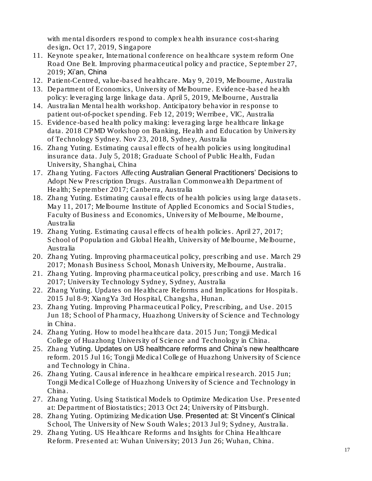with mental disorders respond to complex health insurance cost-sharing design. Oct 17, 2019, Singapore

- 11. Keynote speaker, International conference on healthcare system reform One Road One Belt. Improving pharmaceutical policy and practice, September 27, 2019; Xi'an, China
- 12. Patient-Centred, value-based healthcare. May 9, 2019, Melbourne, Australia
- 13. Department of Economics, University of Melbourne. Evidence-based health policy: leveraging large linkage data. April 5, 2019, Melbourne, Australia
- 14. Australian Mental health workshop. Anticipatory behavior in response to patient out-of-pocket spending. Feb 12, 2019; Werribee, VIC, Australia
- 15. Evidence-based health policy making: leveraging large healthcare linkage data. 2018 CPMD Workshop on Banking, Health and Education by University of Technology Sydney. Nov 23, 2018, Sydney, Australia
- 16. Zhang Yuting. Estimating causal effects of health policies using longitudinal insurance data. July 5, 2018; Graduate School of Public Health, Fudan University, Shanghai, China
- 17. Zhang Yuting. Factors Affecting Australian General Practitioners' Decisions to Adopt New Prescription Drugs. Australian Commonwealth Department of Health; September 2017; Canberra, Australia
- 18. Zhang Yuting. Estimating causal effects of health policies using large datasets. May 11, 2017; Melbourne Institute of Applied Economics and Social Studies, Faculty of Business and Economics, University of Melbourne, Melbourne, Australia
- 19. Zhang Yuting. Estimating causal effects of health policies. April 27, 2017; School of Population and Global Health, University of Melbourne, Melbourne, Australia
- 20. Zhang Yuting. Improving pharmaceutical policy, prescribing and use. March 29 2017; Monash Business School, Monash University, Melbourne, Australia.
- 21. Zhang Yuting. Improving pharmaceutical policy, prescribing and use. March 16 2017; University Technology Sydney, Sydney, Australia
- 22. Zhang Yuting. Updates on Healthcare Reforms and Implications for Hospitals. 2015 Jul 8-9; XiangYa 3rd Hospital, Changsha, Hunan.
- 23. Zhang Yuting. Improving Pharmaceutical Policy, Prescribing, and Use. 2015 Jun 18; School of Pharmacy, Huazhong University of Science and Technology in China.
- 24. Zhang Yuting. How to model healthcare data. 2015 Jun; Tongji Medical College of Huazhong University of Science and Technology in China.
- 25. Zhang Yuting. Updates on US healthcare reforms and China's new healthcare reform. 2015 Jul 16; Tongji Medical College of Huazhong University of Science and Technology in China.
- 26. Zhang Yuting. Causal inference in healthcare empirical research. 2015 Jun; Tongji Medical College of Huazhong University of Science and Technology in China.
- 27. Zhang Yuting. Using Statistical Models to Optimize Medication Use. Presented at: Department of Biostatistics; 2013 Oct 24; University of Pittsburgh.
- 28. Zhang Yuting. Optimizing Medication Use. Presented at: St Vincent's Clinical School, The University of New South Wales; 2013 Jul 9; Sydney, Australia.
- 29. Zhang Yuting. US Healthcare Reforms and Insights for China Healthcare Reform. Presented at: Wuhan University; 2013 Jun 26; Wuhan, China.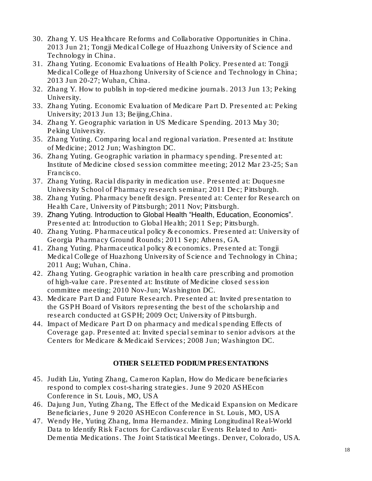- 30. Zhang Y. US Healthcare Reforms and Collaborative Opportunities in China. 2013 Jun 21; Tongji Medical College of Huazhong University of Science and Technology in China.
- 31. Zhang Yuting. Economic Evaluations of Health Policy. Presented at: Tongji Medical College of Huazhong University of Science and Technology in China; 2013 Jun 20-27; Wuhan, China.
- 32. Zhang Y. How to publish in top-tiered medicine journals. 2013 Jun 13; Peking University.
- 33. Zhang Yuting. Economic Evaluation of Medicare Part D. Presented at: Peking University: 2013 Jun 13; Beijing, China.
- 34. Zhang Y. Geographic variation in US Medicare Spending. 2013 May 30; Peking University.
- 35. Zhang Yuting. Comparing local and regional variation. Presented at: Institute of Medicine; 2012 Jun; Washington DC.
- 36. Zhang Yuting. Geographic variation in pharmacy spending. Presented at: Institute of Medicine closed session committee meeting; 2012 Mar 23-25; San Francisco.
- 37. Zhang Yuting. Racial disparity in medication use. Presented at: Duquesne University School of Pharmacy research seminar; 2011 Dec; Pittsburgh.
- 38. Zhang Yuting. Pharmacy benefit design. Presented at: Center for Research on Health Care, University of Pittsburgh; 2011 Nov; Pittsburgh.
- 39. Zhang Yuting. Introduction to Global Health "Health, Education, Economics". Presented at: Introduction to Global Health; 2011 Sep; Pittsburgh.
- 40. Zhang Yuting. Pharmaceutical policy & economics. Presented at: University of Georgia Pharmacy Ground Rounds; 2011 Sep; Athens, GA.
- 41. Zhang Yuting. Pharmaceutical policy & economics. Presented at: Tongji Medical College of Huazhong University of Science and Technology in China; 2011 Aug; Wuhan, China.
- 42. Zhang Yuting. Geographic variation in health care prescribing and promotion of high-value care. Presented at: Institute of Medicine closed session committee meeting; 2010 Nov-Jun; Washington DC.
- 43. Medicare Part D and Future Research. Presented at: Invited presentation to the GSPH Board of Visitors representing the best of the scholarship and research conducted at GSPH; 2009 Oct; University of Pittsburgh.
- 44. Impact of Medicare Part D on pharmacy and medical spending Effects of Coverage gap. Presented at: Invited special seminar to senior advisors at the Centers for Medicare & Medicaid Services; 2008 Jun; Washington DC.

# OTHER SELETED PODIUM PRESENTATIONS

- 45. Judith Liu, Yuting Zhang, Cameron Kaplan, How do Medicare beneficiaries respond to complex cost-sharing strategies. June 9 2020 ASHEcon Conference in St. Louis, MO, USA
- 46. Dajung Jun, Yuting Zhang, [The Effect of the Medicaid Expansion on Medicare](https://ashecon.confex.com/ashecon/2020/speakercenter.cgi?username=6517&password=970496)  [Beneficiaries,](https://ashecon.confex.com/ashecon/2020/speakercenter.cgi?username=6517&password=970496) June 9 2020 ASHEcon Conference in St. Louis, MO, USA
- 47. Wendy He, Yuting Zhang, Inma Hernandez. Mining Longitudinal Real-World Data to Identify Risk Factors for Cardiovascular Events Related to Anti-Dementia Medications. The Joint Statistical Meetings. Denver, Colorado, USA.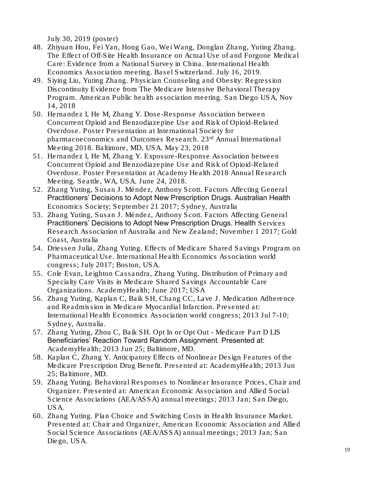July 30, 2019 (poster)

- 48. Zhiyuan Hou, Fei Yan, Hong Gao, Wei Wang, Donglan Zhang, Yuting Zhang. The Effect of Off-Site Health Insurance on Actual Use of and Forgone Medical Care: Evidence from a National Survey in China. International Health Economics Association meeting. Basel Switzerland. July 16, 2019.
- 49. Siying Liu, Yuting Zhang. Physician Counseling and Obesity: Regression Discontinuity Evidence from The Medicare Intensive Behavioral Therapy Program. American Public health association meeting. San Diego USA, Nov 14, 2018
- 50. Hernandez I, He M, Zhang Y. Dose-Response Association between Concurrent Opioid and Benzodiazepine Use and Risk of Opioid-Related Overdose. Poster Presentation at International Society for pharmacoeconomics and Outcomes Research.  $23<sup>rd</sup>$  Annual International Meeting 2018. Baltimore, MD, USA. May 23, 2018
- 51. Hernandez I, He M, Zhang Y. Exposure-Response Association between Concurrent Opioid and Benzodiazepine Use and Risk of Opioid-Related Overdose. Poster Presentation at Academy Health 2018 Annual Research Meeting. Seattle, WA, USA. June 24, 2018.
- 52. Zhang Yuting, Susan J. Méndez, Anthony Scott. Factors Affecting General Practitioners' Decisions to Adopt New Prescription Drugs. Australian Health Economics Society; September 21 2017; Sydney, Australia
- 53. Zhang Yuting, Susan J. Méndez, Anthony Scott. Factors Affecting General Practitioners' Decisions to Adopt New Prescription Drugs. Health Services Research Association of Australia and New Zealand; November 1 2017; Gold Coast, Australia
- 54. Driessen Julia, Zhang Yuting. Effects of Medicare Shared Savings Program on Pharmaceutical Use. International Health Economics Association world congress; July 2017; Boston, USA.
- 55. Cole Evan, Leighton Cassandra, Zhang Yuting. Distribution of Primary and Specialty Care Visits in Medicare Shared Savings Accountable Care Organizations. AcademyHealth; June 2017; USA
- 56. Zhang Yuting, Kaplan C, Baik SH, Chang CC, Lave J. Medication Adherence and Readmission in Medicare Myocardial Infarction. Presented at: International Health Economics Association world congress; 2013 Jul 7-10; Sydney, Australia.
- 57. Zhang Yuting, Zhou C, Baik SH. Opt In or Opt Out Medicare Part D LIS Beneficiaries' Reaction Toward Random Assignment. Presented at: AcademyHealth; 2013 Jun 25; Baltimore, MD.
- 58. Kaplan C, Zhang Y. Anticipatory Effects of Nonlinear Design Features of the Medicare Prescription Drug Benefit. Presented at: AcademyHealth; 2013 Jun 25; Baltimore, MD.
- 59. Zhang Yuting. Behavioral Responses to Nonlinear Insurance Prices, Chair and Organizer. Presented at: American Economic Association and Allied Social Science Associations (AEA/ASSA) annual meetings; 2013 Jan; San Diego, USA.
- 60. Zhang Yuting. Plan Choice and Switching Costs in Health Insurance Market. Presented at: Chair and Organizer, American Economic Association and Allied Social Science Associations (AEA/ASSA) annual meetings; 2013 Jan; San Diego, USA.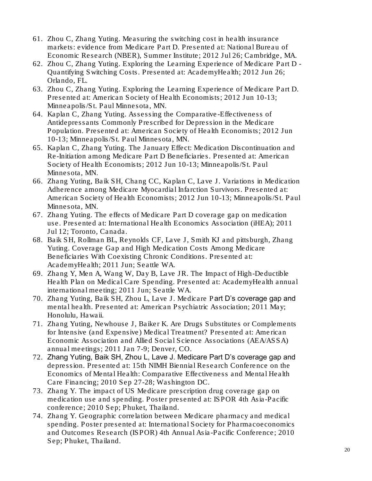- 61. Zhou C, Zhang Yuting. Measuring the switching cost in health insurance markets: evidence from Medicare Part D. Presented at: National Bureau of Economic Research (NBER), Summer Institute; 2012 Jul 26; Cambridge, MA.
- 62. Zhou C, Zhang Yuting. Exploring the Learning Experience of Medicare Part D Quantifying Switching Costs. Presented at: AcademyHealth; 2012 Jun 26; Orlando, FL.
- 63. Zhou C, Zhang Yuting. Exploring the Learning Experience of Medicare Part D. Presented at: American Society of Health Economists; 2012 Jun 10-13; Minneapolis/St. Paul Minnesota, MN.
- 64. Kaplan C, Zhang Yuting. Assessing the Comparative-Effectiveness of Antidepressants Commonly Prescribed for Depression in the Medicare Population. Presented at: American Society of Health Economists; 2012 Jun 10-13; Minneapolis/St. Paul Minnesota, MN.
- 65. Kaplan C, Zhang Yuting. The January Effect: Medication Discontinuation and Re-Initiation among Medicare Part D Beneficiaries. Presented at: American Society of Health Economists; 2012 Jun 10-13; Minneapolis/St. Paul Minnesota, MN.
- 66. Zhang Yuting, Baik SH, Chang CC, Kaplan C, Lave J. Variations in Medication Adherence among Medicare Myocardial Infarction Survivors. Presented at: American Society of Health Economists; 2012 Jun 10-13; Minneapolis/St. Paul Minnesota, MN.
- 67. Zhang Yuting. The effects of Medicare Part D coverage gap on medication use. Presented at: International Health Economics Association (iHEA); 2011 Jul 12; Toronto, Canada.
- 68. Baik SH, Rollman BL, Reynolds CF, Lave J, Smith KJ and pittsburgh, Zhang Yuting. Coverage Gap and High Medication Costs Among Medicare Beneficiaries With Coexisting Chronic Conditions. Presented at: AcademyHealth; 2011 Jun; Seattle WA.
- 69. Zhang Y, Men A, Wang W, Day B, Lave JR. The Impact of High-Deductible Health Plan on Medical Care Spending. Presented at: AcademyHealth annual international meeting; 2011 Jun; Seattle WA.
- 70. Zhang Yuting, Baik SH, Zhou L, Lave J. Medicare Part D's coverage gap and mental health. Presented at: American Psychiatric Association; 2011 May; Honolulu, Hawaii.
- 71. Zhang Yuting, Newhouse J, Baiker K. Are Drugs Substitutes or Complements for Intensive (and Expensive) Medical Treatment? Presented at: American Economic Association and Allied Social Science Associations (AEA/ASSA) annual meetings; 2011 Jan 7-9; Denver, CO.
- 72. Zhang Yuting, Baik SH, Zhou L, Lave J. Medicare Part D's coverage gap and depression. Presented at: 15th NIMH Biennial Research Conference on the Economics of Mental Health: Comparative Effectiveness and Mental Health Care Financing; 2010 Sep 27-28; Washington DC.
- 73. Zhang Y. The impact of US Medicare prescription drug coverage gap on medication use and spending. Poster presented at: ISPOR 4th Asia-Pacific conference; 2010 Sep; Phuket, Thailand.
- 74. Zhang Y. Geographic correlation between Medicare pharmacy and medical spending. Poster presented at: International Society for Pharmacoeconomics and Outcomes Research (ISPOR) 4th Annual Asia-Pacific Conference; 2010 Sep; Phuket, Thailand.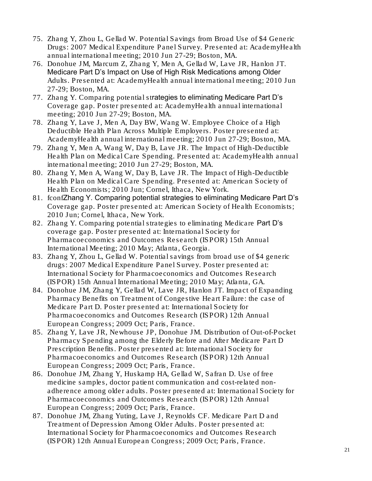- 75. Zhang Y, Zhou L, Gellad W. Potential Savings from Broad Use of \$4 Generic Drugs: 2007 Medical Expenditure Panel Survey. Presented at: AcademyHealth annual international meeting; 2010 Jun 27-29; Boston, MA.
- 76. Donohue JM, Marcum Z, Zhang Y, Men A, Gellad W, Lave JR, Hanlon JT. Medicare Part D's Impact on Use of High Risk Medications among Older Adults. Presented at: AcademyHealth annual international meeting; 2010 Jun 27-29; Boston, MA.
- 77. Zhang Y. Comparing potential strategies to eliminating Medicare Part D's Coverage gap. Poster presented at: AcademyHealth annual international meeting; 2010 Jun 27-29; Boston, MA.
- 78. Zhang Y, Lave J, Men A, Day BW, Wang W. Employee Choice of a High Deductible Health Plan Across Multiple Employers. Poster presented at: AcademyHealth annual international meeting; 2010 Jun 27-29; Boston, MA.
- 79. Zhang Y, Men A, Wang W, Day B, Lave JR. The Impact of High-Deductible Health Plan on Medical Care Spending. Presented at: AcademyHealth annual international meeting; 2010 Jun 27-29; Boston, MA.
- 80. Zhang Y, Men A, Wang W, Day B, Lave JR. The Impact of High-Deductible Health Plan on Medical Care Spending. Presented at: American Society of Health Economists; 2010 Jun; Cornel, Ithaca, New York.
- 81. fconfZhang Y. Comparing potential strategies to eliminating Medicare Part D's Coverage gap. Poster presented at: American Society of Health Economists; 2010 Jun; Cornel, Ithaca, New York.
- 82. Zhang Y. Comparing potential strategies to eliminating Medicare Part D's coverage gap. Poster presented at: International Society for Pharmacoeconomics and Outcomes Research (ISPOR) 15th Annual International Meeting; 2010 May; Atlanta, Georgia.
- 83. Zhang Y, Zhou L, Gellad W. Potential savings from broad use of \$4 generic drugs: 2007 Medical Expenditure Panel Survey. Poster presented at: International Society for Pharmacoeconomics and Outcomes Research (ISPOR) 15th Annual International Meeting; 2010 May; Atlanta, GA.
- 84. Donohue JM, Zhang Y, Gellad W, Lave JR, Hanlon JT. Impact of Expanding Pharmacy Benefits on Treatment of Congestive Heart Failure: the case of Medicare Part D. Poster presented at: International Society for Pharmacoeconomics and Outcomes Research (ISPOR) 12th Annual European Congress; 2009 Oct; Paris, France.
- 85. Zhang Y, Lave JR, Newhouse JP, Donohue JM. Distribution of Out-of-Pocket Pharmacy Spending among the Elderly Before and After Medicare Part D Prescription Benefits. Poster presented at: International Society for Pharmacoeconomics and Outcomes Research (ISPOR) 12th Annual European Congress; 2009 Oct; Paris, France.
- 86. Donohue JM, Zhang Y, Huskamp HA, Gellad W, Safran D. Use of free medicine samples, doctor patient communication and cost-related nonadherence among older adults. Poster presented at: International Society for Pharmacoeconomics and Outcomes Research (ISPOR) 12th Annual European Congress; 2009 Oct; Paris, France.
- 87. Donohue JM, Zhang Yuting, Lave J, Reynolds CF. Medicare Part D and Treatment of Depression Among Older Adults. Poster presented at: International Society for Pharmacoeconomics and Outcomes Research (ISPOR) 12th Annual European Congress; 2009 Oct; Paris, France.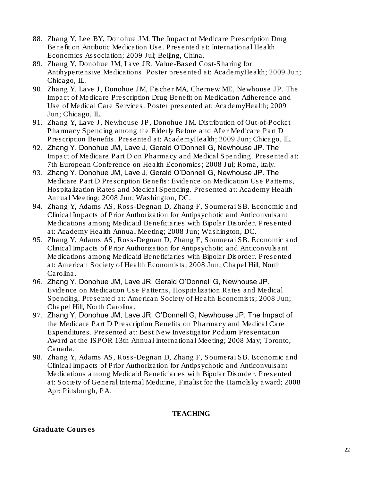- 88. Zhang Y, Lee BY, Donohue JM. The Impact of Medicare Prescription Drug Benefit on Antibotic Medication Use. Presented at: International Health Economics Association; 2009 Jul; Beijing, China.
- 89. Zhang Y, Donohue JM, Lave JR. Value-Based Cost-Sharing for Antihypertensive Medications. Poster presented at: AcademyHealth; 2009 Jun; Chicago, IL.
- 90. Zhang Y, Lave J, Donohue JM, Fischer MA, Chernew ME, Newhouse JP. The Impact of Medicare Prescription Drug Benefit on Medication Adherence and Use of Medical Care Services. Poster presented at: AcademyHealth; 2009 Jun; Chicago, IL.
- 91. Zhang Y, Lave J, Newhouse JP, Donohue JM. Distribution of Out-of-Pocket Pharmacy Spending among the Elderly Before and After Medicare Part D Prescription Benefits. Presented at: AcademyHealth; 2009 Jun; Chicago, IL.
- 92. Zhang Y, Donohue JM, Lave J, Gerald O'Donnell G, Newhouse JP. The Impact of Medicare Part D on Pharmacy and Medical Spending. Presented at: 7th European Conference on Health Economics; 2008 Jul; Roma, Italy.
- 93. Zhang Y, Donohue JM, Lave J, Gerald O'Donnell G, Newhouse JP. The Medicare Part D Prescription Benefts: Evidence on Medication Use Patterns, Hospitalization Rates and Medical Spending. Presented at: Academy Health Annual Meeting; 2008 Jun; Washington, DC.
- 94. Zhang Y, Adams AS, Ross-Degnan D, Zhang F, Soumerai SB. Economic and Clinical Impacts of Prior Authorization for Antipsychotic and Anticonvulsant Medications among Medicaid Beneficiaries with Bipolar Disorder. Presented at: Academy Health Annual Meeting; 2008 Jun; Washington, DC.
- 95. Zhang Y, Adams AS, Ross-Degnan D, Zhang F, Soumerai SB. Economic and Clinical Impacts of Prior Authorization for Antipsychotic and Anticonvulsant Medications among Medicaid Beneficiaries with Bipolar Disorder. Presented at: American Society of Health Economists; 2008 Jun; Chapel Hill, North Carolina.
- 96. Zhang Y, Donohue JM, Lave JR, Gerald O'Donnell G, Newhouse JP. Evidence on Medication Use Patterns, Hospitalization Rates and Medical Spending. Presented at: American Society of Health Economists; 2008 Jun; Chapel Hill, North Carolina.
- 97. Zhang Y, Donohue JM, Lave JR, O'Donnell G, Newhouse JP. The Impact of the Medicare Part D Prescription Benefits on Pharmacy and Medical Care Expenditures. Presented at: Best New Investigator Podium Presentation Award at the ISPOR 13th Annual International Meeting; 2008 May; Toronto, Canada.
- 98. Zhang Y, Adams AS, Ross-Degnan D, Zhang F, Soumerai SB. Economic and Clinical Impacts of Prior Authorization for Antipsychotic and Anticonvulsant Medications among Medicaid Beneficiaries with Bipolar Disorder. Presented at: Society of General Internal Medicine, Finalist for the Hamolsky award; 2008 Apr; Pittsburgh, PA.

#### TEACHING

Graduate Courses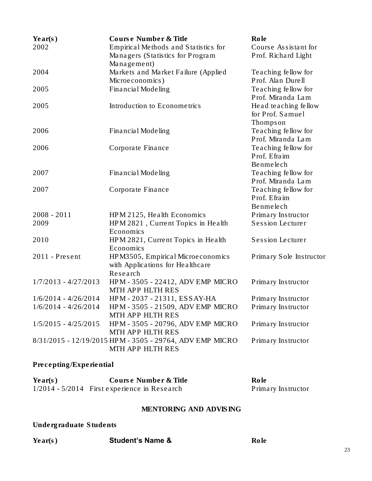| Year(s)<br>2002        | Course Number & Title<br>Empirical Methods and Statistics for<br>Managers (Statistics for Program<br>Management) | Role<br>Course Assistant for<br>Prof. Richard Light  |
|------------------------|------------------------------------------------------------------------------------------------------------------|------------------------------------------------------|
| 2004                   | Markets and Market Failure (Applied<br>Microeconomics)                                                           | Teaching fellow for<br>Prof. Alan Durell             |
| 2005                   | Financial Modeling                                                                                               | Teaching fellow for<br>Prof. Miranda Lam             |
| 2005                   | Introduction to Econometrics                                                                                     | Head teaching fellow<br>for Prof. Samuel<br>Thompson |
| 2006                   | Financial Modeling                                                                                               | Teaching fellow for<br>Prof. Miranda Lam             |
| 2006                   | Corporate Finance                                                                                                | Teaching fellow for<br>Prof. Efraim<br>Benmelech     |
| 2007                   | Financial Modeling                                                                                               | Teaching fellow for<br>Prof. Miranda Lam             |
| 2007                   | Corporate Finance                                                                                                | Teaching fellow for<br>Prof. Efraim<br>Benmelech     |
| $2008 - 2011$          | HPM 2125, Health Economics                                                                                       | Primary Instructor                                   |
| 2009                   | HPM 2821, Current Topics in Health<br>Economics                                                                  | <b>Session Lecturer</b>                              |
| 2010                   | HPM 2821, Current Topics in Health<br>Economics                                                                  | Session Lecturer                                     |
| $2011$ - Present       | HPM3505, Empirical Microeconomics<br>with Applications for Healthcare<br>Research                                | Primary Sole Instructor                              |
| $1/7/2013 - 4/27/2013$ | HPM - 3505 - 22412, ADV EMP MICRO<br>MTH APP HLTH RES                                                            | Primary Instructor                                   |
| $1/6/2014 - 4/26/2014$ | HPM - 2037 - 21311, ESSAY-HA                                                                                     | Primary Instructor                                   |
| $1/6/2014 - 4/26/2014$ | HPM - 3505 - 21509, ADV EMP MICRO<br>MTH APP HLTH RES                                                            | Primary Instructor                                   |
| $1/5/2015 - 4/25/2015$ | HPM - 3505 - 20796, ADV EMP MICRO<br>MTH APP HLTH RES                                                            | Primary Instructor                                   |
|                        | 8/31/2015 - 12/19/2015 HPM - 3505 - 29764, ADV EMP MICRO<br>MTH APP HLTH RES                                     | Primary Instructor                                   |

# Precepting/Experiential

| Year(s) | Course Number & Title                          | Role               |
|---------|------------------------------------------------|--------------------|
|         | $1/2014 - 5/2014$ First experience in Research | Primary Instructor |

# MENTORING AND ADVISING

# Undergraduate Students

| Year(s) |  |
|---------|--|
|---------|--|

# Student's Name & Role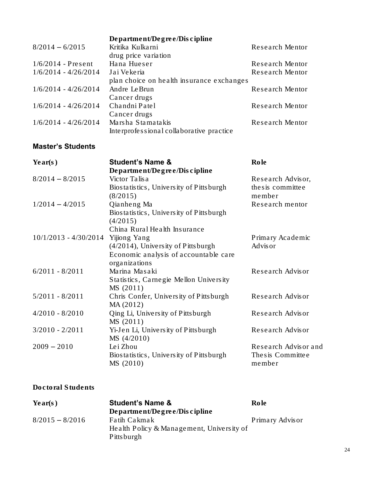|                        | Department/Degree/Discipline              |                 |
|------------------------|-------------------------------------------|-----------------|
| $8/2014 - 6/2015$      | Kritika Kulkarni                          | Research Mentor |
|                        | drug price variation                      |                 |
| $1/6/2014$ - Present   | Hana Hueser                               | Research Mentor |
| $1/6/2014 - 4/26/2014$ | Jai Vekeria                               | Research Mentor |
|                        | plan choice on health insurance exchanges |                 |
| $1/6/2014 - 4/26/2014$ | Andre LeBrun                              | Research Mentor |
|                        | Cancer drugs                              |                 |
| $1/6/2014 - 4/26/2014$ | Chandni Patel                             | Research Mentor |
|                        | Cancer drugs                              |                 |
| $1/6/2014 - 4/26/2014$ | Marsha Stamatakis                         | Research Mentor |
|                        | Interprofessional collaborative practice  |                 |

# Master's Students

| Year(s)                 | <b>Student's Name &amp;</b>             | Role                 |
|-------------------------|-----------------------------------------|----------------------|
|                         | Department/Degree/Discipline            |                      |
| $8/2014 - 8/2015$       | Victor Talisa                           | Research Advisor,    |
|                         | Biostatistics, University of Pittsburgh | the s is committee   |
|                         | (8/2015)                                | member               |
| $1/2014 - 4/2015$       | Qianheng Ma                             | Research mentor      |
|                         | Biostatistics, University of Pittsburgh |                      |
|                         | (4/2015)                                |                      |
|                         | China Rural Health Insurance            |                      |
| $10/1/2013 - 4/30/2014$ | Yijiong Yang                            | Primary Academic     |
|                         | $(4/2014)$ , University of Pittsburgh   | Advisor              |
|                         | Economic analysis of accountable care   |                      |
|                         | organizations                           |                      |
| $6/2011 - 8/2011$       | Marina Masaki                           | Research Advisor     |
|                         | Statistics, Carnegie Mellon University  |                      |
|                         | MS(2011)                                |                      |
| $5/2011 - 8/2011$       | Chris Confer, University of Pittsburgh  | Research Advisor     |
|                         | MA (2012)                               |                      |
| $4/2010 - 8/2010$       | Qing Li, University of Pittsburgh       | Research Advisor     |
|                         | MS(2011)                                |                      |
| $3/2010 - 2/2011$       | Yi-Jen Li, University of Pittsburgh     | Research Advisor     |
|                         | MS(4/2010)                              |                      |
| $2009 - 2010$           | Lei Zhou                                | Research Advisor and |
|                         | Biostatistics, University of Pittsburgh | The sis Committee    |
|                         | MS (2010)                               | member               |

## Doctoral Students

| Year(s)           | <b>Student's Name &amp;</b>               | Role            |
|-------------------|-------------------------------------------|-----------------|
|                   | Department/Degree/Discipher               |                 |
| $8/2015 - 8/2016$ | <b>Fatih Cakmak</b>                       | Primary Advisor |
|                   | Health Policy & Management, University of |                 |
|                   | <b>Pittsburgh</b>                         |                 |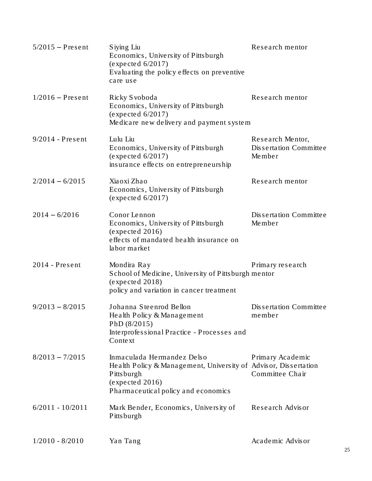| $5/2015$ – Present | Siying Liu<br>Economics, University of Pittsburgh<br>(expected 6/2017)<br>Evaluating the policy effects on preventive<br>care use                                     | Research mentor                                      |
|--------------------|-----------------------------------------------------------------------------------------------------------------------------------------------------------------------|------------------------------------------------------|
| $1/2016$ – Present | Ricky Svoboda<br>Economics, University of Pittsburgh<br>(expected 6/2017)<br>Medicare new delivery and payment system                                                 | Research mentor                                      |
| $9/2014$ - Present | Lulu Liu<br>Economics, University of Pittsburgh<br>(expected 6/2017)<br>insurance effects on entrepreneurship                                                         | Research Mentor,<br>Dissertation Committee<br>Member |
| $2/2014 - 6/2015$  | Xiaoxi Zhao<br>Economics, University of Pittsburgh<br>(expected 6/2017)                                                                                               | Research mentor                                      |
| $2014 - 6/2016$    | Conor Lennon<br>Economics, University of Pittsburgh<br>(expected 2016)<br>effects of mandated health insurance on<br>labor market                                     | Dissertation Committee<br>Member                     |
| $2014$ - Present   | Mondira Ray<br>School of Medicine, University of Pittsburgh mentor<br>(expected 2018)<br>policy and variation in cancer treatment                                     | Primary research                                     |
| $9/2013 - 8/2015$  | Johanna Steenrod Bellon<br>Health Policy & Management<br>PhD (8/2015)<br>Interprofessional Practice - Processes and<br>Context                                        | Dissertation Committee<br>member                     |
| $8/2013 - 7/2015$  | Inmaculada Hermandez Delso<br>Health Policy & Management, University of Advisor, Dissertation<br>Pittsburgh<br>(expected 2016)<br>Pharmaceutical policy and economics | Primary Academic<br>Committee Chair                  |
| $6/2011 - 10/2011$ | Mark Bender, Economics, University of<br>Pittsburgh                                                                                                                   | Research Advisor                                     |
| $1/2010 - 8/2010$  | Yan Tang                                                                                                                                                              | Academic Advisor                                     |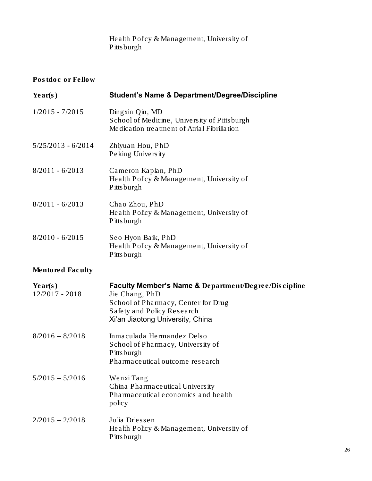Health Policy & Management, University of Pittsburgh

# Postdoc or Fellow

| Year(s)                   | <b>Student's Name &amp; Department/Degree/Discipline</b>                                                                                                                                   |
|---------------------------|--------------------------------------------------------------------------------------------------------------------------------------------------------------------------------------------|
| $1/2015 - 7/2015$         | Dingxin Qin, MD<br>School of Medicine, University of Pittsburgh<br>Medication treatment of Atrial Fibrillation                                                                             |
| $5/25/2013 - 6/2014$      | Zhiyuan Hou, PhD<br>Peking University                                                                                                                                                      |
| $8/2011 - 6/2013$         | Cameron Kaplan, PhD<br>Health Policy & Management, University of<br>Pittsburgh                                                                                                             |
| $8/2011 - 6/2013$         | Chao Zhou, PhD<br>Health Policy & Management, University of<br>Pittsburgh                                                                                                                  |
| $8/2010 - 6/2015$         | Seo Hyon Baik, PhD<br>Health Policy & Management, University of<br>Pittsburgh                                                                                                              |
| Mentored Faculty          |                                                                                                                                                                                            |
| Year(s)<br>12/2017 - 2018 | <b>Faculty Member's Name &amp;</b> Department/Degree/Discipline<br>Jie Chang, PhD<br>School of Pharmacy, Center for Drug<br>Safety and Policy Research<br>Xi'an Jiaotong University, China |
| $8/2016 - 8/2018$         | Inmaculada Hermandez Delso<br>School of Pharmacy, University of<br>Pittsburgh<br>Pharmaceutical outcome research                                                                           |
| $5/2015 - 5/2016$         | Wenxi Tang<br>China Pharmaceutical University<br>Pharmaceutical economics and health<br>policy                                                                                             |
| $2/2015 - 2/2018$         | Julia Driessen<br>Health Policy & Management, University of<br>Pittsburgh                                                                                                                  |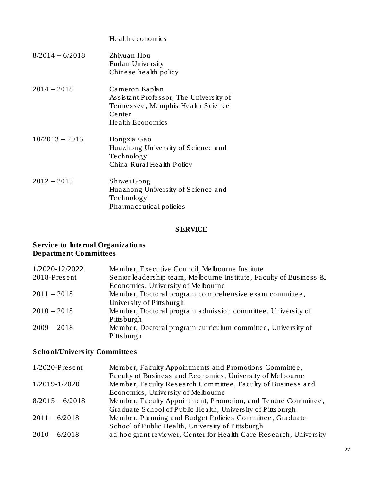|                   | Health economics                                                                                                            |
|-------------------|-----------------------------------------------------------------------------------------------------------------------------|
| $8/2014 - 6/2018$ | Zhiyuan Hou<br>Fudan University<br>Chinese health policy                                                                    |
| $2014 - 2018$     | Cameron Kaplan<br>Assistant Professor, The University of<br>Tennessee, Memphis Health Science<br>Center<br>Health Economics |
| $10/2013 - 2016$  | Hongxia Gao<br>Huazhong University of Science and<br>Technology<br>China Rural Health Policy                                |
| $2012 - 2015$     | Shiwe i Gong<br>Huazhong University of Science and<br>Technology<br>Pharmaceutical policies                                 |

# SERVICE

#### Service to Internal Organizations Department Committees

| 1/2020-12/2022 | Member, Executive Council, Melbourne Institute                      |
|----------------|---------------------------------------------------------------------|
| 2018-Present   | Senior leadership team, Melbourne Institute, Faculty of Business &. |
|                | Economics, University of Melbourne                                  |
| $2011 - 2018$  | Member, Doctoral program comprehensive exam committee,              |
|                | University of Pitts burgh                                           |
| $2010 - 2018$  | Member, Doctoral program admission committee, University of         |
|                | Pitts burgh                                                         |
| $2009 - 2018$  | Member, Doctoral program curriculum committee, University of        |
|                | Pitts burgh                                                         |

# School/University Committees

| $1/2020$ -Present | Member, Faculty Appointments and Promotions Committee,             |
|-------------------|--------------------------------------------------------------------|
|                   | Faculty of Business and Economics, University of Melbourne         |
| 1/2019-1/2020     | Member, Faculty Research Committee, Faculty of Business and        |
|                   | Economics, University of Melbourne                                 |
| $8/2015 - 6/2018$ | Member, Faculty Appointment, Promotion, and Tenure Committee,      |
|                   | Graduate School of Public Health, University of Pittsburgh         |
| $2011 - 6/2018$   | Member, Planning and Budget Policies Committee, Graduate           |
|                   | School of Public Health, University of Pittsburgh                  |
| $2010 - 6/2018$   | ad hoc grant reviewer, Center for Health Care Research, University |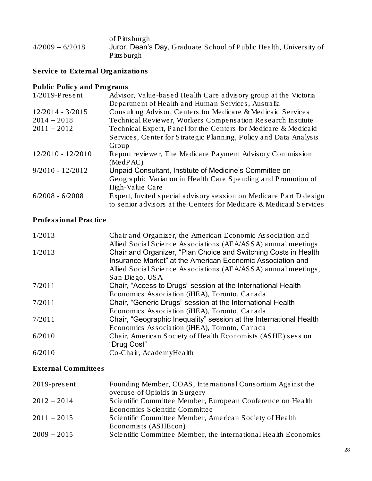of Pittsburgh 4/2009 – 6/2018 Juror, Dean's Day, Graduate School of Public Health, University of Pittsburgh

Service to External Organizations

Public Policy and Programs

| $1/2019$ -Present   | Advisor, Value-based Health Care advisory group at the Victoria    |
|---------------------|--------------------------------------------------------------------|
|                     | Department of Health and Human Services, Australia                 |
| $12/2014 - 3/2015$  | Consulting Advisor, Centers for Medicare & Medicaid Services       |
| $2014 - 2018$       | Technical Reviewer, Workers Compensation Research Institute        |
| $2011 - 2012$       | Technical Expert, Panel for the Centers for Medicare & Medicaid    |
|                     | Services, Center for Strategic Planning, Policy and Data Analysis  |
|                     | Group                                                              |
| $12/2010 - 12/2010$ | Report reviewer, The Medicare Payment Advisory Commission          |
|                     | (MedPAC)                                                           |
| $9/2010 - 12/2012$  | Unpaid Consultant, Institute of Medicine's Committee on            |
|                     | Geographic Variation in Health Care Spending and Promotion of      |
|                     | High-Value Care                                                    |
| $6/2008 - 6/2008$   | Expert, Invited special advisory session on Medicare Part D design |
|                     | to senior advisors at the Centers for Medicare & Medicaid Services |

### Professional Practice

| 1/2013 | Chair and Organizer, the American Economic Association and<br>Allied Social Science Associations (AEA/ASSA) annual meetings                                                                     |
|--------|-------------------------------------------------------------------------------------------------------------------------------------------------------------------------------------------------|
| 1/2013 | Chair and Organizer, "Plan Choice and Switching Costs in Health<br>Insurance Market" at the American Economic Association and<br>Allied Social Science Associations (AEA/ASSA) annual meetings, |
|        | San Diego, USA                                                                                                                                                                                  |
| 7/2011 | Chair, "Access to Drugs" session at the International Health                                                                                                                                    |
|        | Economics Association (iHEA), Toronto, Canada                                                                                                                                                   |
| 7/2011 | Chair, "Generic Drugs" session at the International Health                                                                                                                                      |
|        | Economics Association (iHEA), Toronto, Canada                                                                                                                                                   |
| 7/2011 | Chair, "Geographic Inequality" session at the International Health                                                                                                                              |
|        | Economics Association (iHEA), Toronto, Canada                                                                                                                                                   |
| 6/2010 | Chair, American Society of Health Economists (ASHE) session                                                                                                                                     |
|        | "Drug Cost"                                                                                                                                                                                     |
| 6/2010 | Co-Chair, AcademyHealth                                                                                                                                                                         |

## External Committees

| $2019$ -present | Founding Member, COAS, International Consortium Against the     |
|-----------------|-----------------------------------------------------------------|
|                 | overuse of Opioids in Surgery                                   |
| $2012 - 2014$   | Scientific Committee Member, European Conference on Health      |
|                 | Economics Scientific Committee                                  |
| $2011 - 2015$   | Scientific Committee Member, American Society of Health         |
|                 | Economists (ASHEcon)                                            |
| $2009 - 2015$   | Scientific Committee Member, the International Health Economics |